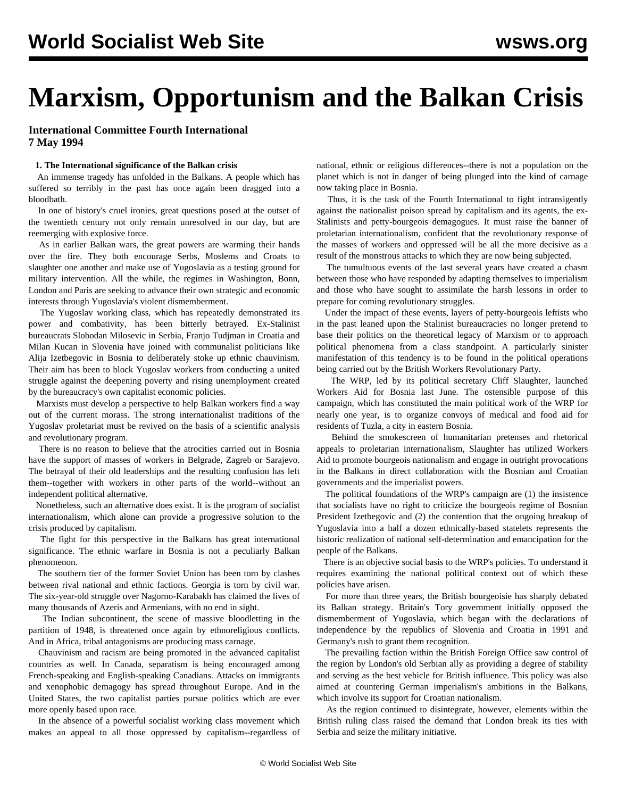# **Marxism, Opportunism and the Balkan Crisis**

# **International Committee Fourth International 7 May 1994**

#### **1. The International significance of the Balkan crisis**

 An immense tragedy has unfolded in the Balkans. A people which has suffered so terribly in the past has once again been dragged into a bloodbath.

 In one of history's cruel ironies, great questions posed at the outset of the twentieth century not only remain unresolved in our day, but are reemerging with explosive force.

 As in earlier Balkan wars, the great powers are warming their hands over the fire. They both encourage Serbs, Moslems and Croats to slaughter one another and make use of Yugoslavia as a testing ground for military intervention. All the while, the regimes in Washington, Bonn, London and Paris are seeking to advance their own strategic and economic interests through Yugoslavia's violent dismemberment.

 The Yugoslav working class, which has repeatedly demonstrated its power and combativity, has been bitterly betrayed. Ex-Stalinist bureaucrats Slobodan Milosevic in Serbia, Franjo Tudjman in Croatia and Milan Kucan in Slovenia have joined with communalist politicians like Alija Izetbegovic in Bosnia to deliberately stoke up ethnic chauvinism. Their aim has been to block Yugoslav workers from conducting a united struggle against the deepening poverty and rising unemployment created by the bureaucracy's own capitalist economic policies.

 Marxists must develop a perspective to help Balkan workers find a way out of the current morass. The strong internationalist traditions of the Yugoslav proletariat must be revived on the basis of a scientific analysis and revolutionary program.

 There is no reason to believe that the atrocities carried out in Bosnia have the support of masses of workers in Belgrade, Zagreb or Sarajevo. The betrayal of their old leaderships and the resulting confusion has left them--together with workers in other parts of the world--without an independent political alternative.

 Nonetheless, such an alternative does exist. It is the program of socialist internationalism, which alone can provide a progressive solution to the crisis produced by capitalism.

 The fight for this perspective in the Balkans has great international significance. The ethnic warfare in Bosnia is not a peculiarly Balkan phenomenon.

 The southern tier of the former Soviet Union has been torn by clashes between rival national and ethnic factions. Georgia is torn by civil war. The six-year-old struggle over Nagorno-Karabakh has claimed the lives of many thousands of Azeris and Armenians, with no end in sight.

 The Indian subcontinent, the scene of massive bloodletting in the partition of 1948, is threatened once again by ethnoreligious conflicts. And in Africa, tribal antagonisms are producing mass carnage.

 Chauvinism and racism are being promoted in the advanced capitalist countries as well. In Canada, separatism is being encouraged among French-speaking and English-speaking Canadians. Attacks on immigrants and xenophobic demagogy has spread throughout Europe. And in the United States, the two capitalist parties pursue politics which are ever more openly based upon race.

 In the absence of a powerful socialist working class movement which makes an appeal to all those oppressed by capitalism--regardless of national, ethnic or religious differences--there is not a population on the planet which is not in danger of being plunged into the kind of carnage now taking place in Bosnia.

 Thus, it is the task of the Fourth International to fight intransigently against the nationalist poison spread by capitalism and its agents, the ex-Stalinists and petty-bourgeois demagogues. It must raise the banner of proletarian internationalism, confident that the revolutionary response of the masses of workers and oppressed will be all the more decisive as a result of the monstrous attacks to which they are now being subjected.

 The tumultuous events of the last several years have created a chasm between those who have responded by adapting themselves to imperialism and those who have sought to assimilate the harsh lessons in order to prepare for coming revolutionary struggles.

 Under the impact of these events, layers of petty-bourgeois leftists who in the past leaned upon the Stalinist bureaucracies no longer pretend to base their politics on the theoretical legacy of Marxism or to approach political phenomena from a class standpoint. A particularly sinister manifestation of this tendency is to be found in the political operations being carried out by the British Workers Revolutionary Party.

 The WRP, led by its political secretary Cliff Slaughter, launched Workers Aid for Bosnia last June. The ostensible purpose of this campaign, which has constituted the main political work of the WRP for nearly one year, is to organize convoys of medical and food aid for residents of Tuzla, a city in eastern Bosnia.

 Behind the smokescreen of humanitarian pretenses and rhetorical appeals to proletarian internationalism, Slaughter has utilized Workers Aid to promote bourgeois nationalism and engage in outright provocations in the Balkans in direct collaboration with the Bosnian and Croatian governments and the imperialist powers.

 The political foundations of the WRP's campaign are (1) the insistence that socialists have no right to criticize the bourgeois regime of Bosnian President Izetbegovic and (2) the contention that the ongoing breakup of Yugoslavia into a half a dozen ethnically-based statelets represents the historic realization of national self-determination and emancipation for the people of the Balkans.

 There is an objective social basis to the WRP's policies. To understand it requires examining the national political context out of which these policies have arisen.

 For more than three years, the British bourgeoisie has sharply debated its Balkan strategy. Britain's Tory government initially opposed the dismemberment of Yugoslavia, which began with the declarations of independence by the republics of Slovenia and Croatia in 1991 and Germany's rush to grant them recognition.

 The prevailing faction within the British Foreign Office saw control of the region by London's old Serbian ally as providing a degree of stability and serving as the best vehicle for British influence. This policy was also aimed at countering German imperialism's ambitions in the Balkans, which involve its support for Croatian nationalism.

 As the region continued to disintegrate, however, elements within the British ruling class raised the demand that London break its ties with Serbia and seize the military initiative.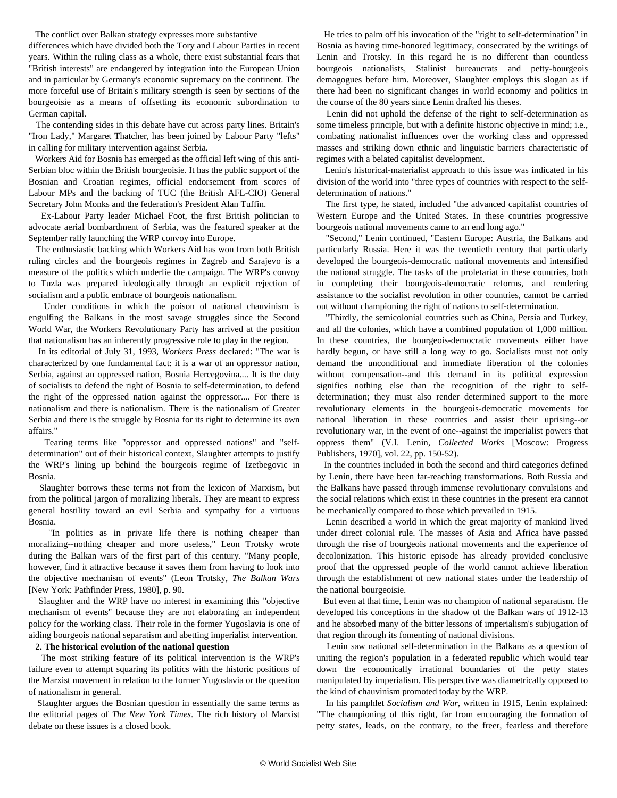The conflict over Balkan strategy expresses more substantive

differences which have divided both the Tory and Labour Parties in recent years. Within the ruling class as a whole, there exist substantial fears that "British interests" are endangered by integration into the European Union and in particular by Germany's economic supremacy on the continent. The more forceful use of Britain's military strength is seen by sections of the bourgeoisie as a means of offsetting its economic subordination to German capital.

 The contending sides in this debate have cut across party lines. Britain's "Iron Lady," Margaret Thatcher, has been joined by Labour Party "lefts" in calling for military intervention against Serbia.

 Workers Aid for Bosnia has emerged as the official left wing of this anti-Serbian bloc within the British bourgeoisie. It has the public support of the Bosnian and Croatian regimes, official endorsement from scores of Labour MPs and the backing of TUC (the British AFL-CIO) General Secretary John Monks and the federation's President Alan Tuffin.

 Ex-Labour Party leader Michael Foot, the first British politician to advocate aerial bombardment of Serbia, was the featured speaker at the September rally launching the WRP convoy into Europe.

 The enthusiastic backing which Workers Aid has won from both British ruling circles and the bourgeois regimes in Zagreb and Sarajevo is a measure of the politics which underlie the campaign. The WRP's convoy to Tuzla was prepared ideologically through an explicit rejection of socialism and a public embrace of bourgeois nationalism.

 Under conditions in which the poison of national chauvinism is engulfing the Balkans in the most savage struggles since the Second World War, the Workers Revolutionary Party has arrived at the position that nationalism has an inherently progressive role to play in the region.

 In its editorial of July 31, 1993, *Workers Press* declared: "The war is characterized by one fundamental fact: it is a war of an oppressor nation, Serbia, against an oppressed nation, Bosnia Hercegovina.... It is the duty of socialists to defend the right of Bosnia to self-determination, to defend the right of the oppressed nation against the oppressor.... For there is nationalism and there is nationalism. There is the nationalism of Greater Serbia and there is the struggle by Bosnia for its right to determine its own affairs."

 Tearing terms like "oppressor and oppressed nations" and "selfdetermination" out of their historical context, Slaughter attempts to justify the WRP's lining up behind the bourgeois regime of Izetbegovic in Bosnia.

 Slaughter borrows these terms not from the lexicon of Marxism, but from the political jargon of moralizing liberals. They are meant to express general hostility toward an evil Serbia and sympathy for a virtuous Bosnia.

 "In politics as in private life there is nothing cheaper than moralizing--nothing cheaper and more useless," Leon Trotsky wrote during the Balkan wars of the first part of this century. "Many people, however, find it attractive because it saves them from having to look into the objective mechanism of events" (Leon Trotsky, *The Balkan Wars* [New York: Pathfinder Press, 1980], p. 90.

 Slaughter and the WRP have no interest in examining this "objective mechanism of events" because they are not elaborating an independent policy for the working class. Their role in the former Yugoslavia is one of aiding bourgeois national separatism and abetting imperialist intervention.

### **2. The historical evolution of the national question**

 The most striking feature of its political intervention is the WRP's failure even to attempt squaring its politics with the historic positions of the Marxist movement in relation to the former Yugoslavia or the question of nationalism in general.

 Slaughter argues the Bosnian question in essentially the same terms as the editorial pages of *The New York Times*. The rich history of Marxist debate on these issues is a closed book.

 He tries to palm off his invocation of the "right to self-determination" in Bosnia as having time-honored legitimacy, consecrated by the writings of Lenin and Trotsky. In this regard he is no different than countless bourgeois nationalists, Stalinist bureaucrats and petty-bourgeois demagogues before him. Moreover, Slaughter employs this slogan as if there had been no significant changes in world economy and politics in the course of the 80 years since Lenin drafted his theses.

 Lenin did not uphold the defense of the right to self-determination as some timeless principle, but with a definite historic objective in mind; i.e., combating nationalist influences over the working class and oppressed masses and striking down ethnic and linguistic barriers characteristic of regimes with a belated capitalist development.

 Lenin's historical-materialist approach to this issue was indicated in his division of the world into "three types of countries with respect to the selfdetermination of nations."

 The first type, he stated, included "the advanced capitalist countries of Western Europe and the United States. In these countries progressive bourgeois national movements came to an end long ago."

 "Second," Lenin continued, "Eastern Europe: Austria, the Balkans and particularly Russia. Here it was the twentieth century that particularly developed the bourgeois-democratic national movements and intensified the national struggle. The tasks of the proletariat in these countries, both in completing their bourgeois-democratic reforms, and rendering assistance to the socialist revolution in other countries, cannot be carried out without championing the right of nations to self-determination.

 "Thirdly, the semicolonial countries such as China, Persia and Turkey, and all the colonies, which have a combined population of 1,000 million. In these countries, the bourgeois-democratic movements either have hardly begun, or have still a long way to go. Socialists must not only demand the unconditional and immediate liberation of the colonies without compensation--and this demand in its political expression signifies nothing else than the recognition of the right to selfdetermination; they must also render determined support to the more revolutionary elements in the bourgeois-democratic movements for national liberation in these countries and assist their uprising--or revolutionary war, in the event of one--against the imperialist powers that oppress them" (V.I. Lenin, *Collected Works* [Moscow: Progress Publishers, 1970], vol. 22, pp. 150-52).

 In the countries included in both the second and third categories defined by Lenin, there have been far-reaching transformations. Both Russia and the Balkans have passed through immense revolutionary convulsions and the social relations which exist in these countries in the present era cannot be mechanically compared to those which prevailed in 1915.

 Lenin described a world in which the great majority of mankind lived under direct colonial rule. The masses of Asia and Africa have passed through the rise of bourgeois national movements and the experience of decolonization. This historic episode has already provided conclusive proof that the oppressed people of the world cannot achieve liberation through the establishment of new national states under the leadership of the national bourgeoisie.

 But even at that time, Lenin was no champion of national separatism. He developed his conceptions in the shadow of the Balkan wars of 1912-13 and he absorbed many of the bitter lessons of imperialism's subjugation of that region through its fomenting of national divisions.

 Lenin saw national self-determination in the Balkans as a question of uniting the region's population in a federated republic which would tear down the economically irrational boundaries of the petty states manipulated by imperialism. His perspective was diametrically opposed to the kind of chauvinism promoted today by the WRP.

 In his pamphlet *Socialism and War*, written in 1915, Lenin explained: "The championing of this right, far from encouraging the formation of petty states, leads, on the contrary, to the freer, fearless and therefore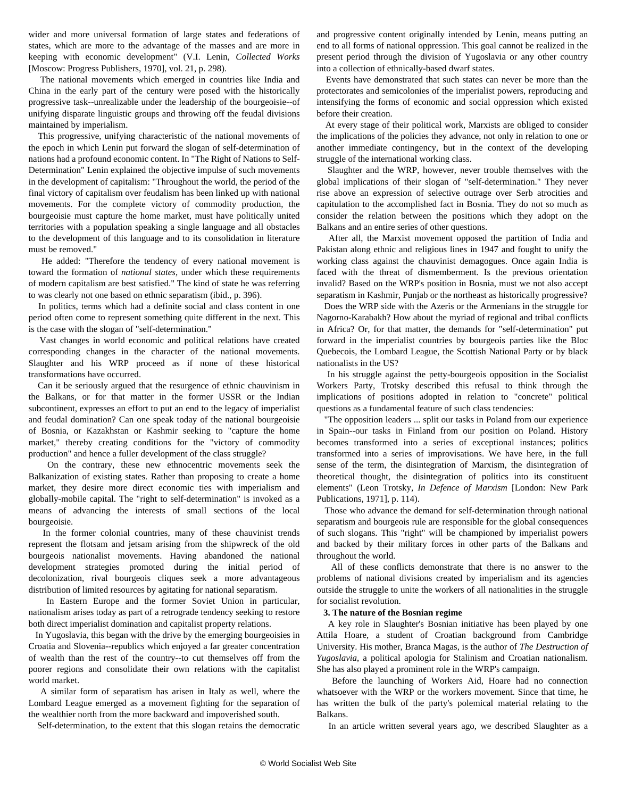wider and more universal formation of large states and federations of states, which are more to the advantage of the masses and are more in keeping with economic development" (V.I. Lenin, *Collected Works* [Moscow: Progress Publishers, 1970], vol. 21, p. 298).

 The national movements which emerged in countries like India and China in the early part of the century were posed with the historically progressive task--unrealizable under the leadership of the bourgeoisie--of unifying disparate linguistic groups and throwing off the feudal divisions maintained by imperialism.

 This progressive, unifying characteristic of the national movements of the epoch in which Lenin put forward the slogan of self-determination of nations had a profound economic content. In "The Right of Nations to Self-Determination" Lenin explained the objective impulse of such movements in the development of capitalism: "Throughout the world, the period of the final victory of capitalism over feudalism has been linked up with national movements. For the complete victory of commodity production, the bourgeoisie must capture the home market, must have politically united territories with a population speaking a single language and all obstacles to the development of this language and to its consolidation in literature must be removed."

 He added: "Therefore the tendency of every national movement is toward the formation of *national states*, under which these requirements of modern capitalism are best satisfied." The kind of state he was referring to was clearly not one based on ethnic separatism (ibid., p. 396).

 In politics, terms which had a definite social and class content in one period often come to represent something quite different in the next. This is the case with the slogan of "self-determination."

 Vast changes in world economic and political relations have created corresponding changes in the character of the national movements. Slaughter and his WRP proceed as if none of these historical transformations have occurred.

 Can it be seriously argued that the resurgence of ethnic chauvinism in the Balkans, or for that matter in the former USSR or the Indian subcontinent, expresses an effort to put an end to the legacy of imperialist and feudal domination? Can one speak today of the national bourgeoisie of Bosnia, or Kazakhstan or Kashmir seeking to "capture the home market," thereby creating conditions for the "victory of commodity production" and hence a fuller development of the class struggle?

 On the contrary, these new ethnocentric movements seek the Balkanization of existing states. Rather than proposing to create a home market, they desire more direct economic ties with imperialism and globally-mobile capital. The "right to self-determination" is invoked as a means of advancing the interests of small sections of the local bourgeoisie.

 In the former colonial countries, many of these chauvinist trends represent the flotsam and jetsam arising from the shipwreck of the old bourgeois nationalist movements. Having abandoned the national development strategies promoted during the initial period of decolonization, rival bourgeois cliques seek a more advantageous distribution of limited resources by agitating for national separatism.

 In Eastern Europe and the former Soviet Union in particular, nationalism arises today as part of a retrograde tendency seeking to restore both direct imperialist domination and capitalist property relations.

 In Yugoslavia, this began with the drive by the emerging bourgeoisies in Croatia and Slovenia--republics which enjoyed a far greater concentration of wealth than the rest of the country--to cut themselves off from the poorer regions and consolidate their own relations with the capitalist world market.

 A similar form of separatism has arisen in Italy as well, where the Lombard League emerged as a movement fighting for the separation of the wealthier north from the more backward and impoverished south.

Self-determination, to the extent that this slogan retains the democratic

and progressive content originally intended by Lenin, means putting an end to all forms of national oppression. This goal cannot be realized in the present period through the division of Yugoslavia or any other country into a collection of ethnically-based dwarf states.

 Events have demonstrated that such states can never be more than the protectorates and semicolonies of the imperialist powers, reproducing and intensifying the forms of economic and social oppression which existed before their creation.

 At every stage of their political work, Marxists are obliged to consider the implications of the policies they advance, not only in relation to one or another immediate contingency, but in the context of the developing struggle of the international working class.

 Slaughter and the WRP, however, never trouble themselves with the global implications of their slogan of "self-determination." They never rise above an expression of selective outrage over Serb atrocities and capitulation to the accomplished fact in Bosnia. They do not so much as consider the relation between the positions which they adopt on the Balkans and an entire series of other questions.

 After all, the Marxist movement opposed the partition of India and Pakistan along ethnic and religious lines in 1947 and fought to unify the working class against the chauvinist demagogues. Once again India is faced with the threat of dismemberment. Is the previous orientation invalid? Based on the WRP's position in Bosnia, must we not also accept separatism in Kashmir, Punjab or the northeast as historically progressive?

 Does the WRP side with the Azeris or the Armenians in the struggle for Nagorno-Karabakh? How about the myriad of regional and tribal conflicts in Africa? Or, for that matter, the demands for "self-determination" put forward in the imperialist countries by bourgeois parties like the Bloc Quebecois, the Lombard League, the Scottish National Party or by black nationalists in the US?

 In his struggle against the petty-bourgeois opposition in the Socialist Workers Party, Trotsky described this refusal to think through the implications of positions adopted in relation to "concrete" political questions as a fundamental feature of such class tendencies:

 "The opposition leaders ... split our tasks in Poland from our experience in Spain--our tasks in Finland from our position on Poland. History becomes transformed into a series of exceptional instances; politics transformed into a series of improvisations. We have here, in the full sense of the term, the disintegration of Marxism, the disintegration of theoretical thought, the disintegration of politics into its constituent elements" (Leon Trotsky, *In Defence of Marxism* [London: New Park Publications, 1971], p. 114).

 Those who advance the demand for self-determination through national separatism and bourgeois rule are responsible for the global consequences of such slogans. This "right" will be championed by imperialist powers and backed by their military forces in other parts of the Balkans and throughout the world.

 All of these conflicts demonstrate that there is no answer to the problems of national divisions created by imperialism and its agencies outside the struggle to unite the workers of all nationalities in the struggle for socialist revolution.

## **3. The nature of the Bosnian regime**

 A key role in Slaughter's Bosnian initiative has been played by one Attila Hoare, a student of Croatian background from Cambridge University. His mother, Branca Magas, is the author of *The Destruction of Yugoslavia*, a political apologia for Stalinism and Croatian nationalism. She has also played a prominent role in the WRP's campaign.

 Before the launching of Workers Aid, Hoare had no connection whatsoever with the WRP or the workers movement. Since that time, he has written the bulk of the party's polemical material relating to the Balkans.

In an article written several years ago, we described Slaughter as a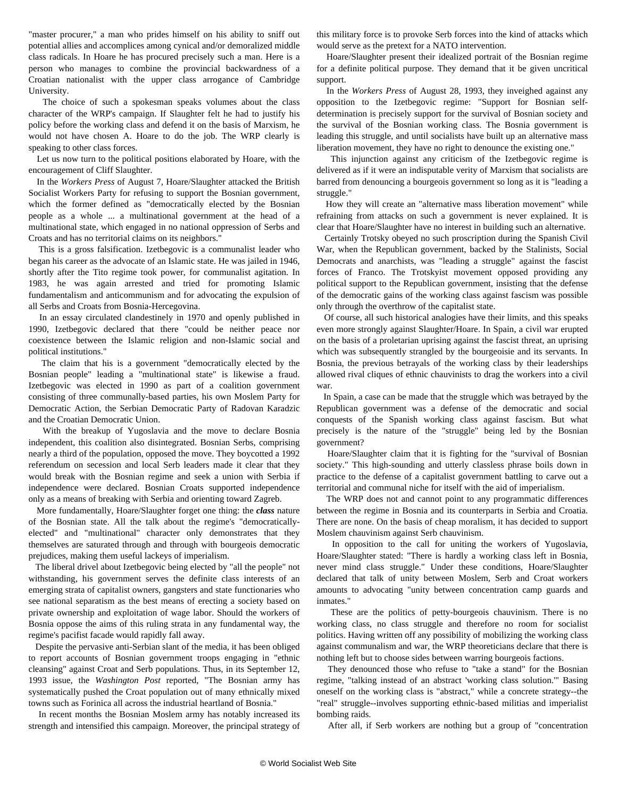"master procurer," a man who prides himself on his ability to sniff out potential allies and accomplices among cynical and/or demoralized middle class radicals. In Hoare he has procured precisely such a man. Here is a person who manages to combine the provincial backwardness of a Croatian nationalist with the upper class arrogance of Cambridge University.

 The choice of such a spokesman speaks volumes about the class character of the WRP's campaign. If Slaughter felt he had to justify his policy before the working class and defend it on the basis of Marxism, he would not have chosen A. Hoare to do the job. The WRP clearly is speaking to other class forces.

 Let us now turn to the political positions elaborated by Hoare, with the encouragement of Cliff Slaughter.

 In the *Workers Press* of August 7, Hoare/Slaughter attacked the British Socialist Workers Party for refusing to support the Bosnian government, which the former defined as "democratically elected by the Bosnian people as a whole ... a multinational government at the head of a multinational state, which engaged in no national oppression of Serbs and Croats and has no territorial claims on its neighbors."

 This is a gross falsification. Izetbegovic is a communalist leader who began his career as the advocate of an Islamic state. He was jailed in 1946, shortly after the Tito regime took power, for communalist agitation. In 1983, he was again arrested and tried for promoting Islamic fundamentalism and anticommunism and for advocating the expulsion of all Serbs and Croats from Bosnia-Hercegovina.

 In an essay circulated clandestinely in 1970 and openly published in 1990, Izetbegovic declared that there "could be neither peace nor coexistence between the Islamic religion and non-Islamic social and political institutions."

 The claim that his is a government "democratically elected by the Bosnian people" leading a "multinational state" is likewise a fraud. Izetbegovic was elected in 1990 as part of a coalition government consisting of three communally-based parties, his own Moslem Party for Democratic Action, the Serbian Democratic Party of Radovan Karadzic and the Croatian Democratic Union.

 With the breakup of Yugoslavia and the move to declare Bosnia independent, this coalition also disintegrated. Bosnian Serbs, comprising nearly a third of the population, opposed the move. They boycotted a 1992 referendum on secession and local Serb leaders made it clear that they would break with the Bosnian regime and seek a union with Serbia if independence were declared. Bosnian Croats supported independence only as a means of breaking with Serbia and orienting toward Zagreb.

 More fundamentally, Hoare/Slaughter forget one thing: the *class* nature of the Bosnian state. All the talk about the regime's "democraticallyelected" and "multinational" character only demonstrates that they themselves are saturated through and through with bourgeois democratic prejudices, making them useful lackeys of imperialism.

 The liberal drivel about Izetbegovic being elected by "all the people" not withstanding, his government serves the definite class interests of an emerging strata of capitalist owners, gangsters and state functionaries who see national separatism as the best means of erecting a society based on private ownership and exploitation of wage labor. Should the workers of Bosnia oppose the aims of this ruling strata in any fundamental way, the regime's pacifist facade would rapidly fall away.

 Despite the pervasive anti-Serbian slant of the media, it has been obliged to report accounts of Bosnian government troops engaging in "ethnic cleansing" against Croat and Serb populations. Thus, in its September 12, 1993 issue, the *Washington Post* reported, "The Bosnian army has systematically pushed the Croat population out of many ethnically mixed towns such as Forinica all across the industrial heartland of Bosnia."

 In recent months the Bosnian Moslem army has notably increased its strength and intensified this campaign. Moreover, the principal strategy of this military force is to provoke Serb forces into the kind of attacks which would serve as the pretext for a NATO intervention.

 Hoare/Slaughter present their idealized portrait of the Bosnian regime for a definite political purpose. They demand that it be given uncritical support.

 In the *Workers Press* of August 28, 1993, they inveighed against any opposition to the Izetbegovic regime: "Support for Bosnian selfdetermination is precisely support for the survival of Bosnian society and the survival of the Bosnian working class. The Bosnia government is leading this struggle, and until socialists have built up an alternative mass liberation movement, they have no right to denounce the existing one."

 This injunction against any criticism of the Izetbegovic regime is delivered as if it were an indisputable verity of Marxism that socialists are barred from denouncing a bourgeois government so long as it is "leading a struggle."

 How they will create an "alternative mass liberation movement" while refraining from attacks on such a government is never explained. It is clear that Hoare/Slaughter have no interest in building such an alternative.

 Certainly Trotsky obeyed no such proscription during the Spanish Civil War, when the Republican government, backed by the Stalinists, Social Democrats and anarchists, was "leading a struggle" against the fascist forces of Franco. The Trotskyist movement opposed providing any political support to the Republican government, insisting that the defense of the democratic gains of the working class against fascism was possible only through the overthrow of the capitalist state.

 Of course, all such historical analogies have their limits, and this speaks even more strongly against Slaughter/Hoare. In Spain, a civil war erupted on the basis of a proletarian uprising against the fascist threat, an uprising which was subsequently strangled by the bourgeoisie and its servants. In Bosnia, the previous betrayals of the working class by their leaderships allowed rival cliques of ethnic chauvinists to drag the workers into a civil war.

 In Spain, a case can be made that the struggle which was betrayed by the Republican government was a defense of the democratic and social conquests of the Spanish working class against fascism. But what precisely is the nature of the "struggle" being led by the Bosnian government?

 Hoare/Slaughter claim that it is fighting for the "survival of Bosnian society." This high-sounding and utterly classless phrase boils down in practice to the defense of a capitalist government battling to carve out a territorial and communal niche for itself with the aid of imperialism.

 The WRP does not and cannot point to any programmatic differences between the regime in Bosnia and its counterparts in Serbia and Croatia. There are none. On the basis of cheap moralism, it has decided to support Moslem chauvinism against Serb chauvinism.

 In opposition to the call for uniting the workers of Yugoslavia, Hoare/Slaughter stated: "There is hardly a working class left in Bosnia, never mind class struggle." Under these conditions, Hoare/Slaughter declared that talk of unity between Moslem, Serb and Croat workers amounts to advocating "unity between concentration camp guards and inmates."

 These are the politics of petty-bourgeois chauvinism. There is no working class, no class struggle and therefore no room for socialist politics. Having written off any possibility of mobilizing the working class against communalism and war, the WRP theoreticians declare that there is nothing left but to choose sides between warring bourgeois factions.

 They denounced those who refuse to "take a stand" for the Bosnian regime, "talking instead of an abstract 'working class solution.'" Basing oneself on the working class is "abstract," while a concrete strategy--the "real" struggle--involves supporting ethnic-based militias and imperialist bombing raids.

After all, if Serb workers are nothing but a group of "concentration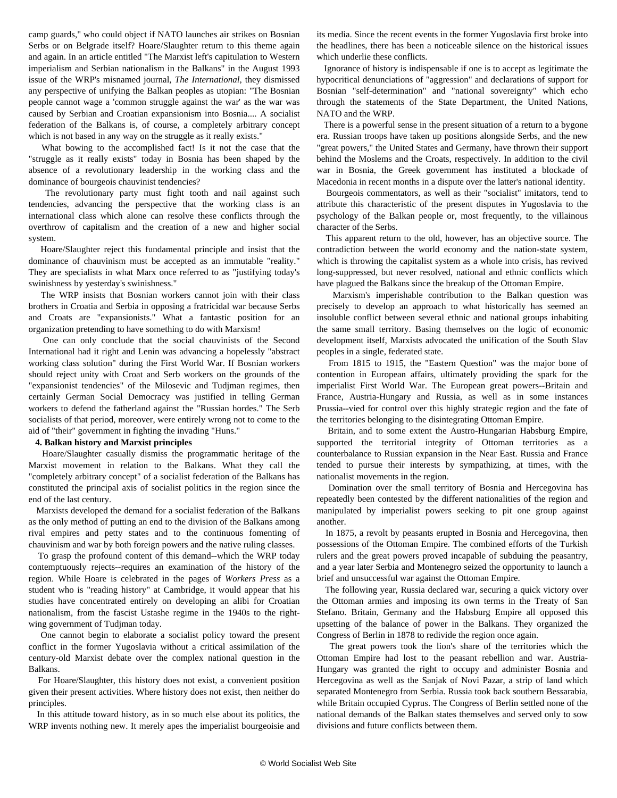camp guards," who could object if NATO launches air strikes on Bosnian Serbs or on Belgrade itself? Hoare/Slaughter return to this theme again and again. In an article entitled "The Marxist left's capitulation to Western imperialism and Serbian nationalism in the Balkans" in the August 1993 issue of the WRP's misnamed journal, *The International*, they dismissed any perspective of unifying the Balkan peoples as utopian: "The Bosnian people cannot wage a 'common struggle against the war' as the war was caused by Serbian and Croatian expansionism into Bosnia.... A socialist federation of the Balkans is, of course, a completely arbitrary concept which is not based in any way on the struggle as it really exists."

 What bowing to the accomplished fact! Is it not the case that the "struggle as it really exists" today in Bosnia has been shaped by the absence of a revolutionary leadership in the working class and the dominance of bourgeois chauvinist tendencies?

 The revolutionary party must fight tooth and nail against such tendencies, advancing the perspective that the working class is an international class which alone can resolve these conflicts through the overthrow of capitalism and the creation of a new and higher social system.

 Hoare/Slaughter reject this fundamental principle and insist that the dominance of chauvinism must be accepted as an immutable "reality." They are specialists in what Marx once referred to as "justifying today's swinishness by yesterday's swinishness."

 The WRP insists that Bosnian workers cannot join with their class brothers in Croatia and Serbia in opposing a fratricidal war because Serbs and Croats are "expansionists." What a fantastic position for an organization pretending to have something to do with Marxism!

 One can only conclude that the social chauvinists of the Second International had it right and Lenin was advancing a hopelessly "abstract working class solution" during the First World War. If Bosnian workers should reject unity with Croat and Serb workers on the grounds of the "expansionist tendencies" of the Milosevic and Tudjman regimes, then certainly German Social Democracy was justified in telling German workers to defend the fatherland against the "Russian hordes." The Serb socialists of that period, moreover, were entirely wrong not to come to the aid of "their" government in fighting the invading "Huns."

#### **4. Balkan history and Marxist principles**

 Hoare/Slaughter casually dismiss the programmatic heritage of the Marxist movement in relation to the Balkans. What they call the "completely arbitrary concept" of a socialist federation of the Balkans has constituted the principal axis of socialist politics in the region since the end of the last century.

 Marxists developed the demand for a socialist federation of the Balkans as the only method of putting an end to the division of the Balkans among rival empires and petty states and to the continuous fomenting of chauvinism and war by both foreign powers and the native ruling classes.

 To grasp the profound content of this demand--which the WRP today contemptuously rejects--requires an examination of the history of the region. While Hoare is celebrated in the pages of *Workers Press* as a student who is "reading history" at Cambridge, it would appear that his studies have concentrated entirely on developing an alibi for Croatian nationalism, from the fascist Ustashe regime in the 1940s to the rightwing government of Tudjman today.

 One cannot begin to elaborate a socialist policy toward the present conflict in the former Yugoslavia without a critical assimilation of the century-old Marxist debate over the complex national question in the Balkans.

 For Hoare/Slaughter, this history does not exist, a convenient position given their present activities. Where history does not exist, then neither do principles.

 In this attitude toward history, as in so much else about its politics, the WRP invents nothing new. It merely apes the imperialist bourgeoisie and its media. Since the recent events in the former Yugoslavia first broke into the headlines, there has been a noticeable silence on the historical issues which underlie these conflicts.

 Ignorance of history is indispensable if one is to accept as legitimate the hypocritical denunciations of "aggression" and declarations of support for Bosnian "self-determination" and "national sovereignty" which echo through the statements of the State Department, the United Nations, NATO and the WRP.

 There is a powerful sense in the present situation of a return to a bygone era. Russian troops have taken up positions alongside Serbs, and the new "great powers," the United States and Germany, have thrown their support behind the Moslems and the Croats, respectively. In addition to the civil war in Bosnia, the Greek government has instituted a blockade of Macedonia in recent months in a dispute over the latter's national identity.

 Bourgeois commentators, as well as their "socialist" imitators, tend to attribute this characteristic of the present disputes in Yugoslavia to the psychology of the Balkan people or, most frequently, to the villainous character of the Serbs.

 This apparent return to the old, however, has an objective source. The contradiction between the world economy and the nation-state system, which is throwing the capitalist system as a whole into crisis, has revived long-suppressed, but never resolved, national and ethnic conflicts which have plagued the Balkans since the breakup of the Ottoman Empire.

 Marxism's imperishable contribution to the Balkan question was precisely to develop an approach to what historically has seemed an insoluble conflict between several ethnic and national groups inhabiting the same small territory. Basing themselves on the logic of economic development itself, Marxists advocated the unification of the South Slav peoples in a single, federated state.

 From 1815 to 1915, the "Eastern Question" was the major bone of contention in European affairs, ultimately providing the spark for the imperialist First World War. The European great powers--Britain and France, Austria-Hungary and Russia, as well as in some instances Prussia--vied for control over this highly strategic region and the fate of the territories belonging to the disintegrating Ottoman Empire.

 Britain, and to some extent the Austro-Hungarian Habsburg Empire, supported the territorial integrity of Ottoman territories as a counterbalance to Russian expansion in the Near East. Russia and France tended to pursue their interests by sympathizing, at times, with the nationalist movements in the region.

 Domination over the small territory of Bosnia and Hercegovina has repeatedly been contested by the different nationalities of the region and manipulated by imperialist powers seeking to pit one group against another.

 In 1875, a revolt by peasants erupted in Bosnia and Hercegovina, then possessions of the Ottoman Empire. The combined efforts of the Turkish rulers and the great powers proved incapable of subduing the peasantry, and a year later Serbia and Montenegro seized the opportunity to launch a brief and unsuccessful war against the Ottoman Empire.

 The following year, Russia declared war, securing a quick victory over the Ottoman armies and imposing its own terms in the Treaty of San Stefano. Britain, Germany and the Habsburg Empire all opposed this upsetting of the balance of power in the Balkans. They organized the Congress of Berlin in 1878 to redivide the region once again.

 The great powers took the lion's share of the territories which the Ottoman Empire had lost to the peasant rebellion and war. Austria-Hungary was granted the right to occupy and administer Bosnia and Hercegovina as well as the Sanjak of Novi Pazar, a strip of land which separated Montenegro from Serbia. Russia took back southern Bessarabia, while Britain occupied Cyprus. The Congress of Berlin settled none of the national demands of the Balkan states themselves and served only to sow divisions and future conflicts between them.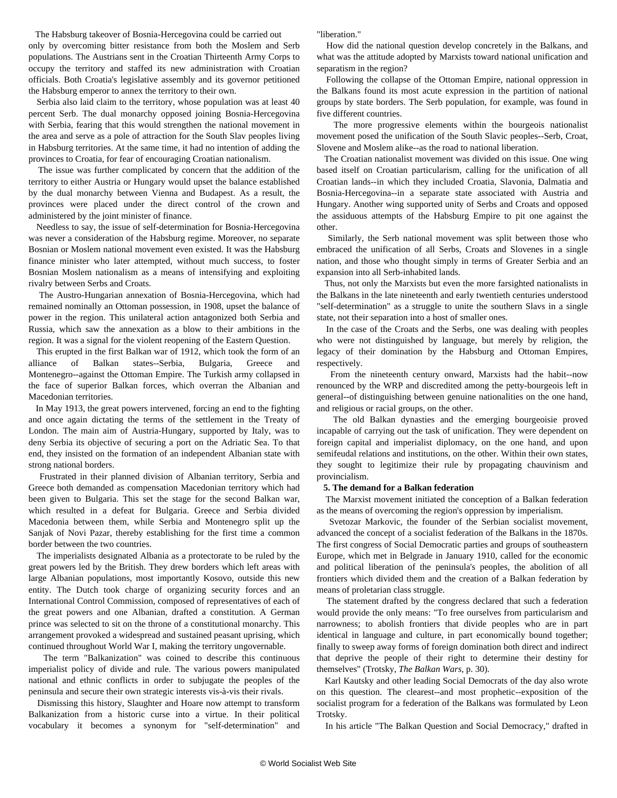The Habsburg takeover of Bosnia-Hercegovina could be carried out only by overcoming bitter resistance from both the Moslem and Serb populations. The Austrians sent in the Croatian Thirteenth Army Corps to occupy the territory and staffed its new administration with Croatian officials. Both Croatia's legislative assembly and its governor petitioned the Habsburg emperor to annex the territory to their own.

 Serbia also laid claim to the territory, whose population was at least 40 percent Serb. The dual monarchy opposed joining Bosnia-Hercegovina with Serbia, fearing that this would strengthen the national movement in the area and serve as a pole of attraction for the South Slav peoples living in Habsburg territories. At the same time, it had no intention of adding the provinces to Croatia, for fear of encouraging Croatian nationalism.

 The issue was further complicated by concern that the addition of the territory to either Austria or Hungary would upset the balance established by the dual monarchy between Vienna and Budapest. As a result, the provinces were placed under the direct control of the crown and administered by the joint minister of finance.

 Needless to say, the issue of self-determination for Bosnia-Hercegovina was never a consideration of the Habsburg regime. Moreover, no separate Bosnian or Moslem national movement even existed. It was the Habsburg finance minister who later attempted, without much success, to foster Bosnian Moslem nationalism as a means of intensifying and exploiting rivalry between Serbs and Croats.

 The Austro-Hungarian annexation of Bosnia-Hercegovina, which had remained nominally an Ottoman possession, in 1908, upset the balance of power in the region. This unilateral action antagonized both Serbia and Russia, which saw the annexation as a blow to their ambitions in the region. It was a signal for the violent reopening of the Eastern Question.

 This erupted in the first Balkan war of 1912, which took the form of an alliance of Balkan states--Serbia, Bulgaria, Greece and Montenegro--against the Ottoman Empire. The Turkish army collapsed in the face of superior Balkan forces, which overran the Albanian and Macedonian territories.

 In May 1913, the great powers intervened, forcing an end to the fighting and once again dictating the terms of the settlement in the Treaty of London. The main aim of Austria-Hungary, supported by Italy, was to deny Serbia its objective of securing a port on the Adriatic Sea. To that end, they insisted on the formation of an independent Albanian state with strong national borders.

 Frustrated in their planned division of Albanian territory, Serbia and Greece both demanded as compensation Macedonian territory which had been given to Bulgaria. This set the stage for the second Balkan war, which resulted in a defeat for Bulgaria. Greece and Serbia divided Macedonia between them, while Serbia and Montenegro split up the Sanjak of Novi Pazar, thereby establishing for the first time a common border between the two countries.

 The imperialists designated Albania as a protectorate to be ruled by the great powers led by the British. They drew borders which left areas with large Albanian populations, most importantly Kosovo, outside this new entity. The Dutch took charge of organizing security forces and an International Control Commission, composed of representatives of each of the great powers and one Albanian, drafted a constitution. A German prince was selected to sit on the throne of a constitutional monarchy. This arrangement provoked a widespread and sustained peasant uprising, which continued throughout World War I, making the territory ungovernable.

 The term "Balkanization" was coined to describe this continuous imperialist policy of divide and rule. The various powers manipulated national and ethnic conflicts in order to subjugate the peoples of the peninsula and secure their own strategic interests vis-à-vis their rivals.

 Dismissing this history, Slaughter and Hoare now attempt to transform Balkanization from a historic curse into a virtue. In their political vocabulary it becomes a synonym for "self-determination" and

"liberation."

 How did the national question develop concretely in the Balkans, and what was the attitude adopted by Marxists toward national unification and separatism in the region?

 Following the collapse of the Ottoman Empire, national oppression in the Balkans found its most acute expression in the partition of national groups by state borders. The Serb population, for example, was found in five different countries.

 The more progressive elements within the bourgeois nationalist movement posed the unification of the South Slavic peoples--Serb, Croat, Slovene and Moslem alike--as the road to national liberation.

 The Croatian nationalist movement was divided on this issue. One wing based itself on Croatian particularism, calling for the unification of all Croatian lands--in which they included Croatia, Slavonia, Dalmatia and Bosnia-Hercegovina--in a separate state associated with Austria and Hungary. Another wing supported unity of Serbs and Croats and opposed the assiduous attempts of the Habsburg Empire to pit one against the other.

 Similarly, the Serb national movement was split between those who embraced the unification of all Serbs, Croats and Slovenes in a single nation, and those who thought simply in terms of Greater Serbia and an expansion into all Serb-inhabited lands.

 Thus, not only the Marxists but even the more farsighted nationalists in the Balkans in the late nineteenth and early twentieth centuries understood "self-determination" as a struggle to unite the southern Slavs in a single state, not their separation into a host of smaller ones.

 In the case of the Croats and the Serbs, one was dealing with peoples who were not distinguished by language, but merely by religion, the legacy of their domination by the Habsburg and Ottoman Empires, respectively.

 From the nineteenth century onward, Marxists had the habit--now renounced by the WRP and discredited among the petty-bourgeois left in general--of distinguishing between genuine nationalities on the one hand, and religious or racial groups, on the other.

 The old Balkan dynasties and the emerging bourgeoisie proved incapable of carrying out the task of unification. They were dependent on foreign capital and imperialist diplomacy, on the one hand, and upon semifeudal relations and institutions, on the other. Within their own states, they sought to legitimize their rule by propagating chauvinism and provincialism.

#### **5. The demand for a Balkan federation**

 The Marxist movement initiated the conception of a Balkan federation as the means of overcoming the region's oppression by imperialism.

 Svetozar Markovic, the founder of the Serbian socialist movement, advanced the concept of a socialist federation of the Balkans in the 1870s. The first congress of Social Democratic parties and groups of southeastern Europe, which met in Belgrade in January 1910, called for the economic and political liberation of the peninsula's peoples, the abolition of all frontiers which divided them and the creation of a Balkan federation by means of proletarian class struggle.

 The statement drafted by the congress declared that such a federation would provide the only means: "To free ourselves from particularism and narrowness; to abolish frontiers that divide peoples who are in part identical in language and culture, in part economically bound together; finally to sweep away forms of foreign domination both direct and indirect that deprive the people of their right to determine their destiny for themselves" (Trotsky, *The Balkan Wars*, p. 30).

 Karl Kautsky and other leading Social Democrats of the day also wrote on this question. The clearest--and most prophetic--exposition of the socialist program for a federation of the Balkans was formulated by Leon Trotsky.

In his article "The Balkan Question and Social Democracy," drafted in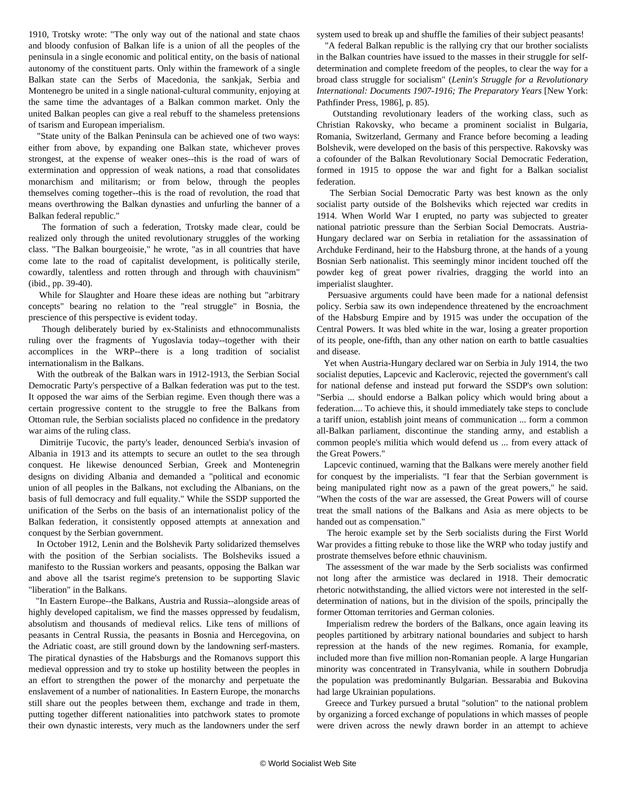1910, Trotsky wrote: "The only way out of the national and state chaos and bloody confusion of Balkan life is a union of all the peoples of the peninsula in a single economic and political entity, on the basis of national autonomy of the constituent parts. Only within the framework of a single Balkan state can the Serbs of Macedonia, the sankjak, Serbia and Montenegro be united in a single national-cultural community, enjoying at the same time the advantages of a Balkan common market. Only the united Balkan peoples can give a real rebuff to the shameless pretensions of tsarism and European imperialism.

 "State unity of the Balkan Peninsula can be achieved one of two ways: either from above, by expanding one Balkan state, whichever proves strongest, at the expense of weaker ones--this is the road of wars of extermination and oppression of weak nations, a road that consolidates monarchism and militarism; or from below, through the peoples themselves coming together--this is the road of revolution, the road that means overthrowing the Balkan dynasties and unfurling the banner of a Balkan federal republic."

 The formation of such a federation, Trotsky made clear, could be realized only through the united revolutionary struggles of the working class. "The Balkan bourgeoisie," he wrote, "as in all countries that have come late to the road of capitalist development, is politically sterile, cowardly, talentless and rotten through and through with chauvinism" (ibid., pp. 39-40).

 While for Slaughter and Hoare these ideas are nothing but "arbitrary concepts" bearing no relation to the "real struggle" in Bosnia, the prescience of this perspective is evident today.

 Though deliberately buried by ex-Stalinists and ethnocommunalists ruling over the fragments of Yugoslavia today--together with their accomplices in the WRP--there is a long tradition of socialist internationalism in the Balkans.

 With the outbreak of the Balkan wars in 1912-1913, the Serbian Social Democratic Party's perspective of a Balkan federation was put to the test. It opposed the war aims of the Serbian regime. Even though there was a certain progressive content to the struggle to free the Balkans from Ottoman rule, the Serbian socialists placed no confidence in the predatory war aims of the ruling class.

 Dimitrije Tucovic, the party's leader, denounced Serbia's invasion of Albania in 1913 and its attempts to secure an outlet to the sea through conquest. He likewise denounced Serbian, Greek and Montenegrin designs on dividing Albania and demanded a "political and economic union of all peoples in the Balkans, not excluding the Albanians, on the basis of full democracy and full equality." While the SSDP supported the unification of the Serbs on the basis of an internationalist policy of the Balkan federation, it consistently opposed attempts at annexation and conquest by the Serbian government.

 In October 1912, Lenin and the Bolshevik Party solidarized themselves with the position of the Serbian socialists. The Bolsheviks issued a manifesto to the Russian workers and peasants, opposing the Balkan war and above all the tsarist regime's pretension to be supporting Slavic "liberation" in the Balkans.

 "In Eastern Europe--the Balkans, Austria and Russia--alongside areas of highly developed capitalism, we find the masses oppressed by feudalism, absolutism and thousands of medieval relics. Like tens of millions of peasants in Central Russia, the peasants in Bosnia and Hercegovina, on the Adriatic coast, are still ground down by the landowning serf-masters. The piratical dynasties of the Habsburgs and the Romanovs support this medieval oppression and try to stoke up hostility between the peoples in an effort to strengthen the power of the monarchy and perpetuate the enslavement of a number of nationalities. In Eastern Europe, the monarchs still share out the peoples between them, exchange and trade in them, putting together different nationalities into patchwork states to promote their own dynastic interests, very much as the landowners under the serf system used to break up and shuffle the families of their subject peasants!

 "A federal Balkan republic is the rallying cry that our brother socialists in the Balkan countries have issued to the masses in their struggle for selfdetermination and complete freedom of the peoples, to clear the way for a broad class struggle for socialism" (*Lenin's Struggle for a Revolutionary International: Documents 1907-1916; The Preparatory Years* [New York: Pathfinder Press, 1986], p. 85).

 Outstanding revolutionary leaders of the working class, such as Christian Rakovsky, who became a prominent socialist in Bulgaria, Romania, Switzerland, Germany and France before becoming a leading Bolshevik, were developed on the basis of this perspective. Rakovsky was a cofounder of the Balkan Revolutionary Social Democratic Federation, formed in 1915 to oppose the war and fight for a Balkan socialist federation.

 The Serbian Social Democratic Party was best known as the only socialist party outside of the Bolsheviks which rejected war credits in 1914. When World War I erupted, no party was subjected to greater national patriotic pressure than the Serbian Social Democrats. Austria-Hungary declared war on Serbia in retaliation for the assassination of Archduke Ferdinand, heir to the Habsburg throne, at the hands of a young Bosnian Serb nationalist. This seemingly minor incident touched off the powder keg of great power rivalries, dragging the world into an imperialist slaughter.

 Persuasive arguments could have been made for a national defensist policy. Serbia saw its own independence threatened by the encroachment of the Habsburg Empire and by 1915 was under the occupation of the Central Powers. It was bled white in the war, losing a greater proportion of its people, one-fifth, than any other nation on earth to battle casualties and disease.

 Yet when Austria-Hungary declared war on Serbia in July 1914, the two socialist deputies, Lapcevic and Kaclerovic, rejected the government's call for national defense and instead put forward the SSDP's own solution: "Serbia ... should endorse a Balkan policy which would bring about a federation.... To achieve this, it should immediately take steps to conclude a tariff union, establish joint means of communication ... form a common all-Balkan parliament, discontinue the standing army, and establish a common people's militia which would defend us ... from every attack of the Great Powers."

 Lapcevic continued, warning that the Balkans were merely another field for conquest by the imperialists. "I fear that the Serbian government is being manipulated right now as a pawn of the great powers," he said. "When the costs of the war are assessed, the Great Powers will of course treat the small nations of the Balkans and Asia as mere objects to be handed out as compensation."

 The heroic example set by the Serb socialists during the First World War provides a fitting rebuke to those like the WRP who today justify and prostrate themselves before ethnic chauvinism.

 The assessment of the war made by the Serb socialists was confirmed not long after the armistice was declared in 1918. Their democratic rhetoric notwithstanding, the allied victors were not interested in the selfdetermination of nations, but in the division of the spoils, principally the former Ottoman territories and German colonies.

 Imperialism redrew the borders of the Balkans, once again leaving its peoples partitioned by arbitrary national boundaries and subject to harsh repression at the hands of the new regimes. Romania, for example, included more than five million non-Romanian people. A large Hungarian minority was concentrated in Transylvania, while in southern Dobrudja the population was predominantly Bulgarian. Bessarabia and Bukovina had large Ukrainian populations.

 Greece and Turkey pursued a brutal "solution" to the national problem by organizing a forced exchange of populations in which masses of people were driven across the newly drawn border in an attempt to achieve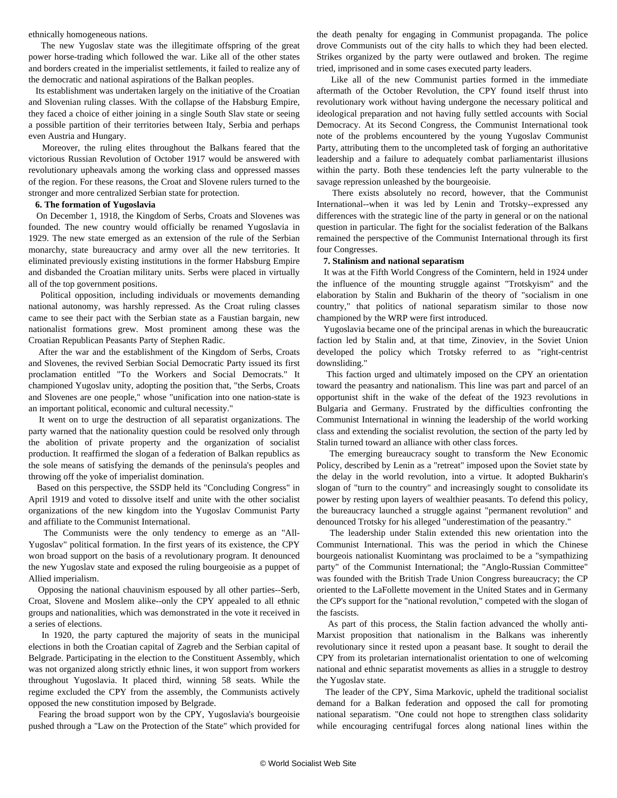ethnically homogeneous nations.

 The new Yugoslav state was the illegitimate offspring of the great power horse-trading which followed the war. Like all of the other states and borders created in the imperialist settlements, it failed to realize any of the democratic and national aspirations of the Balkan peoples.

 Its establishment was undertaken largely on the initiative of the Croatian and Slovenian ruling classes. With the collapse of the Habsburg Empire, they faced a choice of either joining in a single South Slav state or seeing a possible partition of their territories between Italy, Serbia and perhaps even Austria and Hungary.

 Moreover, the ruling elites throughout the Balkans feared that the victorious Russian Revolution of October 1917 would be answered with revolutionary upheavals among the working class and oppressed masses of the region. For these reasons, the Croat and Slovene rulers turned to the stronger and more centralized Serbian state for protection.

#### **6. The formation of Yugoslavia**

 On December 1, 1918, the Kingdom of Serbs, Croats and Slovenes was founded. The new country would officially be renamed Yugoslavia in 1929. The new state emerged as an extension of the rule of the Serbian monarchy, state bureaucracy and army over all the new territories. It eliminated previously existing institutions in the former Habsburg Empire and disbanded the Croatian military units. Serbs were placed in virtually all of the top government positions.

 Political opposition, including individuals or movements demanding national autonomy, was harshly repressed. As the Croat ruling classes came to see their pact with the Serbian state as a Faustian bargain, new nationalist formations grew. Most prominent among these was the Croatian Republican Peasants Party of Stephen Radic.

 After the war and the establishment of the Kingdom of Serbs, Croats and Slovenes, the revived Serbian Social Democratic Party issued its first proclamation entitled "To the Workers and Social Democrats." It championed Yugoslav unity, adopting the position that, "the Serbs, Croats and Slovenes are one people," whose "unification into one nation-state is an important political, economic and cultural necessity."

 It went on to urge the destruction of all separatist organizations. The party warned that the nationality question could be resolved only through the abolition of private property and the organization of socialist production. It reaffirmed the slogan of a federation of Balkan republics as the sole means of satisfying the demands of the peninsula's peoples and throwing off the yoke of imperialist domination.

 Based on this perspective, the SSDP held its "Concluding Congress" in April 1919 and voted to dissolve itself and unite with the other socialist organizations of the new kingdom into the Yugoslav Communist Party and affiliate to the Communist International.

 The Communists were the only tendency to emerge as an "All-Yugoslav" political formation. In the first years of its existence, the CPY won broad support on the basis of a revolutionary program. It denounced the new Yugoslav state and exposed the ruling bourgeoisie as a puppet of Allied imperialism.

 Opposing the national chauvinism espoused by all other parties--Serb, Croat, Slovene and Moslem alike--only the CPY appealed to all ethnic groups and nationalities, which was demonstrated in the vote it received in a series of elections.

 In 1920, the party captured the majority of seats in the municipal elections in both the Croatian capital of Zagreb and the Serbian capital of Belgrade. Participating in the election to the Constituent Assembly, which was not organized along strictly ethnic lines, it won support from workers throughout Yugoslavia. It placed third, winning 58 seats. While the regime excluded the CPY from the assembly, the Communists actively opposed the new constitution imposed by Belgrade.

 Fearing the broad support won by the CPY, Yugoslavia's bourgeoisie pushed through a "Law on the Protection of the State" which provided for the death penalty for engaging in Communist propaganda. The police drove Communists out of the city halls to which they had been elected. Strikes organized by the party were outlawed and broken. The regime tried, imprisoned and in some cases executed party leaders.

 Like all of the new Communist parties formed in the immediate aftermath of the October Revolution, the CPY found itself thrust into revolutionary work without having undergone the necessary political and ideological preparation and not having fully settled accounts with Social Democracy. At its Second Congress, the Communist International took note of the problems encountered by the young Yugoslav Communist Party, attributing them to the uncompleted task of forging an authoritative leadership and a failure to adequately combat parliamentarist illusions within the party. Both these tendencies left the party vulnerable to the savage repression unleashed by the bourgeoisie.

 There exists absolutely no record, however, that the Communist International--when it was led by Lenin and Trotsky--expressed any differences with the strategic line of the party in general or on the national question in particular. The fight for the socialist federation of the Balkans remained the perspective of the Communist International through its first four Congresses.

#### **7. Stalinism and national separatism**

 It was at the Fifth World Congress of the Comintern, held in 1924 under the influence of the mounting struggle against "Trotskyism" and the elaboration by Stalin and Bukharin of the theory of "socialism in one country," that politics of national separatism similar to those now championed by the WRP were first introduced.

 Yugoslavia became one of the principal arenas in which the bureaucratic faction led by Stalin and, at that time, Zinoviev, in the Soviet Union developed the policy which Trotsky referred to as "right-centrist downsliding."

 This faction urged and ultimately imposed on the CPY an orientation toward the peasantry and nationalism. This line was part and parcel of an opportunist shift in the wake of the defeat of the 1923 revolutions in Bulgaria and Germany. Frustrated by the difficulties confronting the Communist International in winning the leadership of the world working class and extending the socialist revolution, the section of the party led by Stalin turned toward an alliance with other class forces.

 The emerging bureaucracy sought to transform the New Economic Policy, described by Lenin as a "retreat" imposed upon the Soviet state by the delay in the world revolution, into a virtue. It adopted Bukharin's slogan of "turn to the country" and increasingly sought to consolidate its power by resting upon layers of wealthier peasants. To defend this policy, the bureaucracy launched a struggle against "permanent revolution" and denounced Trotsky for his alleged "underestimation of the peasantry."

 The leadership under Stalin extended this new orientation into the Communist International. This was the period in which the Chinese bourgeois nationalist Kuomintang was proclaimed to be a "sympathizing party" of the Communist International; the "Anglo-Russian Committee" was founded with the British Trade Union Congress bureaucracy; the CP oriented to the LaFollette movement in the United States and in Germany the CP's support for the "national revolution," competed with the slogan of the fascists.

 As part of this process, the Stalin faction advanced the wholly anti-Marxist proposition that nationalism in the Balkans was inherently revolutionary since it rested upon a peasant base. It sought to derail the CPY from its proletarian internationalist orientation to one of welcoming national and ethnic separatist movements as allies in a struggle to destroy the Yugoslav state.

 The leader of the CPY, Sima Markovic, upheld the traditional socialist demand for a Balkan federation and opposed the call for promoting national separatism. "One could not hope to strengthen class solidarity while encouraging centrifugal forces along national lines within the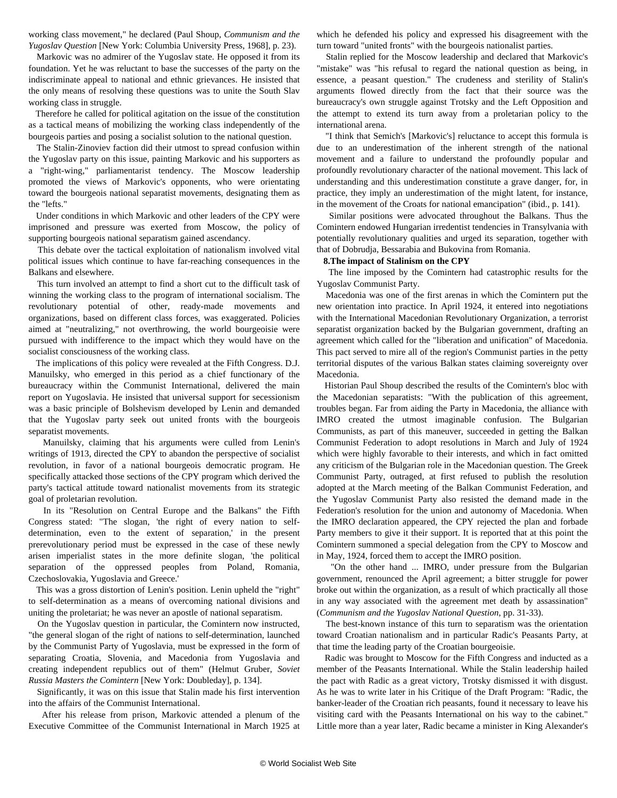working class movement," he declared (Paul Shoup, *Communism and the Yugoslav Question* [New York: Columbia University Press, 1968], p. 23).

 Markovic was no admirer of the Yugoslav state. He opposed it from its foundation. Yet he was reluctant to base the successes of the party on the indiscriminate appeal to national and ethnic grievances. He insisted that the only means of resolving these questions was to unite the South Slav working class in struggle.

 Therefore he called for political agitation on the issue of the constitution as a tactical means of mobilizing the working class independently of the bourgeois parties and posing a socialist solution to the national question.

 The Stalin-Zinoviev faction did their utmost to spread confusion within the Yugoslav party on this issue, painting Markovic and his supporters as a "right-wing," parliamentarist tendency. The Moscow leadership promoted the views of Markovic's opponents, who were orientating toward the bourgeois national separatist movements, designating them as the "lefts."

 Under conditions in which Markovic and other leaders of the CPY were imprisoned and pressure was exerted from Moscow, the policy of supporting bourgeois national separatism gained ascendancy.

 This debate over the tactical exploitation of nationalism involved vital political issues which continue to have far-reaching consequences in the Balkans and elsewhere.

 This turn involved an attempt to find a short cut to the difficult task of winning the working class to the program of international socialism. The revolutionary potential of other, ready-made movements and organizations, based on different class forces, was exaggerated. Policies aimed at "neutralizing," not overthrowing, the world bourgeoisie were pursued with indifference to the impact which they would have on the socialist consciousness of the working class.

 The implications of this policy were revealed at the Fifth Congress. D.J. Manuilsky, who emerged in this period as a chief functionary of the bureaucracy within the Communist International, delivered the main report on Yugoslavia. He insisted that universal support for secessionism was a basic principle of Bolshevism developed by Lenin and demanded that the Yugoslav party seek out united fronts with the bourgeois separatist movements.

 Manuilsky, claiming that his arguments were culled from Lenin's writings of 1913, directed the CPY to abandon the perspective of socialist revolution, in favor of a national bourgeois democratic program. He specifically attacked those sections of the CPY program which derived the party's tactical attitude toward nationalist movements from its strategic goal of proletarian revolution.

 In its "Resolution on Central Europe and the Balkans" the Fifth Congress stated: "The slogan, 'the right of every nation to selfdetermination, even to the extent of separation,' in the present prerevolutionary period must be expressed in the case of these newly arisen imperialist states in the more definite slogan, 'the political separation of the oppressed peoples from Poland, Romania, Czechoslovakia, Yugoslavia and Greece.'

 This was a gross distortion of Lenin's position. Lenin upheld the "right" to self-determination as a means of overcoming national divisions and uniting the proletariat; he was never an apostle of national separatism.

 On the Yugoslav question in particular, the Comintern now instructed, "the general slogan of the right of nations to self-determination, launched by the Communist Party of Yugoslavia, must be expressed in the form of separating Croatia, Slovenia, and Macedonia from Yugoslavia and creating independent republics out of them" (Helmut Gruber, *Soviet Russia Masters the Comintern* [New York: Doubleday], p. 134].

 Significantly, it was on this issue that Stalin made his first intervention into the affairs of the Communist International.

 After his release from prison, Markovic attended a plenum of the Executive Committee of the Communist International in March 1925 at which he defended his policy and expressed his disagreement with the turn toward "united fronts" with the bourgeois nationalist parties.

 Stalin replied for the Moscow leadership and declared that Markovic's "mistake" was "his refusal to regard the national question as being, in essence, a peasant question." The crudeness and sterility of Stalin's arguments flowed directly from the fact that their source was the bureaucracy's own struggle against Trotsky and the Left Opposition and the attempt to extend its turn away from a proletarian policy to the international arena.

 "I think that Semich's [Markovic's] reluctance to accept this formula is due to an underestimation of the inherent strength of the national movement and a failure to understand the profoundly popular and profoundly revolutionary character of the national movement. This lack of understanding and this underestimation constitute a grave danger, for, in practice, they imply an underestimation of the might latent, for instance, in the movement of the Croats for national emancipation" (ibid., p. 141).

 Similar positions were advocated throughout the Balkans. Thus the Comintern endowed Hungarian irredentist tendencies in Transylvania with potentially revolutionary qualities and urged its separation, together with that of Dobrudja, Bessarabia and Bukovina from Romania.

#### **8.The impact of Stalinism on the CPY**

 The line imposed by the Comintern had catastrophic results for the Yugoslav Communist Party.

 Macedonia was one of the first arenas in which the Comintern put the new orientation into practice. In April 1924, it entered into negotiations with the International Macedonian Revolutionary Organization, a terrorist separatist organization backed by the Bulgarian government, drafting an agreement which called for the "liberation and unification" of Macedonia. This pact served to mire all of the region's Communist parties in the petty territorial disputes of the various Balkan states claiming sovereignty over Macedonia.

 Historian Paul Shoup described the results of the Comintern's bloc with the Macedonian separatists: "With the publication of this agreement, troubles began. Far from aiding the Party in Macedonia, the alliance with IMRO created the utmost imaginable confusion. The Bulgarian Communists, as part of this maneuver, succeeded in getting the Balkan Communist Federation to adopt resolutions in March and July of 1924 which were highly favorable to their interests, and which in fact omitted any criticism of the Bulgarian role in the Macedonian question. The Greek Communist Party, outraged, at first refused to publish the resolution adopted at the March meeting of the Balkan Communist Federation, and the Yugoslav Communist Party also resisted the demand made in the Federation's resolution for the union and autonomy of Macedonia. When the IMRO declaration appeared, the CPY rejected the plan and forbade Party members to give it their support. It is reported that at this point the Comintern summoned a special delegation from the CPY to Moscow and in May, 1924, forced them to accept the IMRO position.

 "On the other hand ... IMRO, under pressure from the Bulgarian government, renounced the April agreement; a bitter struggle for power broke out within the organization, as a result of which practically all those in any way associated with the agreement met death by assassination" (*Communism and the Yugoslav National Question*, pp. 31-33).

 The best-known instance of this turn to separatism was the orientation toward Croatian nationalism and in particular Radic's Peasants Party, at that time the leading party of the Croatian bourgeoisie.

 Radic was brought to Moscow for the Fifth Congress and inducted as a member of the Peasants International. While the Stalin leadership hailed the pact with Radic as a great victory, Trotsky dismissed it with disgust. As he was to write later in his Critique of the Draft Program: "Radic, the banker-leader of the Croatian rich peasants, found it necessary to leave his visiting card with the Peasants International on his way to the cabinet." Little more than a year later, Radic became a minister in King Alexander's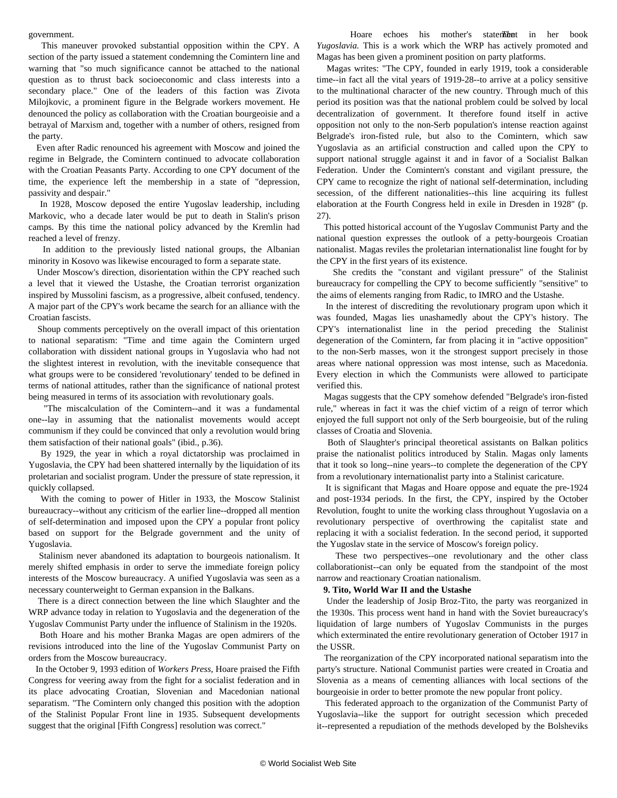government.

 This maneuver provoked substantial opposition within the CPY. A section of the party issued a statement condemning the Comintern line and warning that "so much significance cannot be attached to the national question as to thrust back socioeconomic and class interests into a secondary place." One of the leaders of this faction was Zivota Milojkovic, a prominent figure in the Belgrade workers movement. He denounced the policy as collaboration with the Croatian bourgeoisie and a betrayal of Marxism and, together with a number of others, resigned from the party.

 Even after Radic renounced his agreement with Moscow and joined the regime in Belgrade, the Comintern continued to advocate collaboration with the Croatian Peasants Party. According to one CPY document of the time, the experience left the membership in a state of "depression, passivity and despair."

 In 1928, Moscow deposed the entire Yugoslav leadership, including Markovic, who a decade later would be put to death in Stalin's prison camps. By this time the national policy advanced by the Kremlin had reached a level of frenzy.

 In addition to the previously listed national groups, the Albanian minority in Kosovo was likewise encouraged to form a separate state.

 Under Moscow's direction, disorientation within the CPY reached such a level that it viewed the Ustashe, the Croatian terrorist organization inspired by Mussolini fascism, as a progressive, albeit confused, tendency. A major part of the CPY's work became the search for an alliance with the Croatian fascists.

 Shoup comments perceptively on the overall impact of this orientation to national separatism: "Time and time again the Comintern urged collaboration with dissident national groups in Yugoslavia who had not the slightest interest in revolution, with the inevitable consequence that what groups were to be considered 'revolutionary' tended to be defined in terms of national attitudes, rather than the significance of national protest being measured in terms of its association with revolutionary goals.

 "The miscalculation of the Comintern--and it was a fundamental one--lay in assuming that the nationalist movements would accept communism if they could be convinced that only a revolution would bring them satisfaction of their national goals" (ibid., p.36).

 By 1929, the year in which a royal dictatorship was proclaimed in Yugoslavia, the CPY had been shattered internally by the liquidation of its proletarian and socialist program. Under the pressure of state repression, it quickly collapsed.

 With the coming to power of Hitler in 1933, the Moscow Stalinist bureaucracy--without any criticism of the earlier line--dropped all mention of self-determination and imposed upon the CPY a popular front policy based on support for the Belgrade government and the unity of Yugoslavia.

 Stalinism never abandoned its adaptation to bourgeois nationalism. It merely shifted emphasis in order to serve the immediate foreign policy interests of the Moscow bureaucracy. A unified Yugoslavia was seen as a necessary counterweight to German expansion in the Balkans.

 There is a direct connection between the line which Slaughter and the WRP advance today in relation to Yugoslavia and the degeneration of the Yugoslav Communist Party under the influence of Stalinism in the 1920s.

 Both Hoare and his mother Branka Magas are open admirers of the revisions introduced into the line of the Yugoslav Communist Party on orders from the Moscow bureaucracy.

 In the October 9, 1993 edition of *Workers Press*, Hoare praised the Fifth Congress for veering away from the fight for a socialist federation and in its place advocating Croatian, Slovenian and Macedonian national separatism. "The Comintern only changed this position with the adoption of the Stalinist Popular Front line in 1935. Subsequent developments suggest that the original [Fifth Congress] resolution was correct."

Hoare echoes his mother's statement in her book *Yugoslavia.* This is a work which the WRP has actively promoted and Magas has been given a prominent position on party platforms.

 Magas writes: "The CPY, founded in early 1919, took a considerable time--in fact all the vital years of 1919-28--to arrive at a policy sensitive to the multinational character of the new country. Through much of this period its position was that the national problem could be solved by local decentralization of government. It therefore found itself in active opposition not only to the non-Serb population's intense reaction against Belgrade's iron-fisted rule, but also to the Comintern, which saw Yugoslavia as an artificial construction and called upon the CPY to support national struggle against it and in favor of a Socialist Balkan Federation. Under the Comintern's constant and vigilant pressure, the CPY came to recognize the right of national self-determination, including secession, of the different nationalities--this line acquiring its fullest elaboration at the Fourth Congress held in exile in Dresden in 1928" (p. 27).

 This potted historical account of the Yugoslav Communist Party and the national question expresses the outlook of a petty-bourgeois Croatian nationalist. Magas reviles the proletarian internationalist line fought for by the CPY in the first years of its existence.

 She credits the "constant and vigilant pressure" of the Stalinist bureaucracy for compelling the CPY to become sufficiently "sensitive" to the aims of elements ranging from Radic, to IMRO and the Ustashe.

 In the interest of discrediting the revolutionary program upon which it was founded, Magas lies unashamedly about the CPY's history. The CPY's internationalist line in the period preceding the Stalinist degeneration of the Comintern, far from placing it in "active opposition" to the non-Serb masses, won it the strongest support precisely in those areas where national oppression was most intense, such as Macedonia. Every election in which the Communists were allowed to participate verified this.

 Magas suggests that the CPY somehow defended "Belgrade's iron-fisted rule," whereas in fact it was the chief victim of a reign of terror which enjoyed the full support not only of the Serb bourgeoisie, but of the ruling classes of Croatia and Slovenia.

 Both of Slaughter's principal theoretical assistants on Balkan politics praise the nationalist politics introduced by Stalin. Magas only laments that it took so long--nine years--to complete the degeneration of the CPY from a revolutionary internationalist party into a Stalinist caricature.

 It is significant that Magas and Hoare oppose and equate the pre-1924 and post-1934 periods. In the first, the CPY, inspired by the October Revolution, fought to unite the working class throughout Yugoslavia on a revolutionary perspective of overthrowing the capitalist state and replacing it with a socialist federation. In the second period, it supported the Yugoslav state in the service of Moscow's foreign policy.

 These two perspectives--one revolutionary and the other class collaborationist--can only be equated from the standpoint of the most narrow and reactionary Croatian nationalism.

#### **9. Tito, World War II and the Ustashe**

 Under the leadership of Josip Broz-Tito, the party was reorganized in the 1930s. This process went hand in hand with the Soviet bureaucracy's liquidation of large numbers of Yugoslav Communists in the purges which exterminated the entire revolutionary generation of October 1917 in the USSR.

 The reorganization of the CPY incorporated national separatism into the party's structure. National Communist parties were created in Croatia and Slovenia as a means of cementing alliances with local sections of the bourgeoisie in order to better promote the new popular front policy.

 This federated approach to the organization of the Communist Party of Yugoslavia--like the support for outright secession which preceded it--represented a repudiation of the methods developed by the Bolsheviks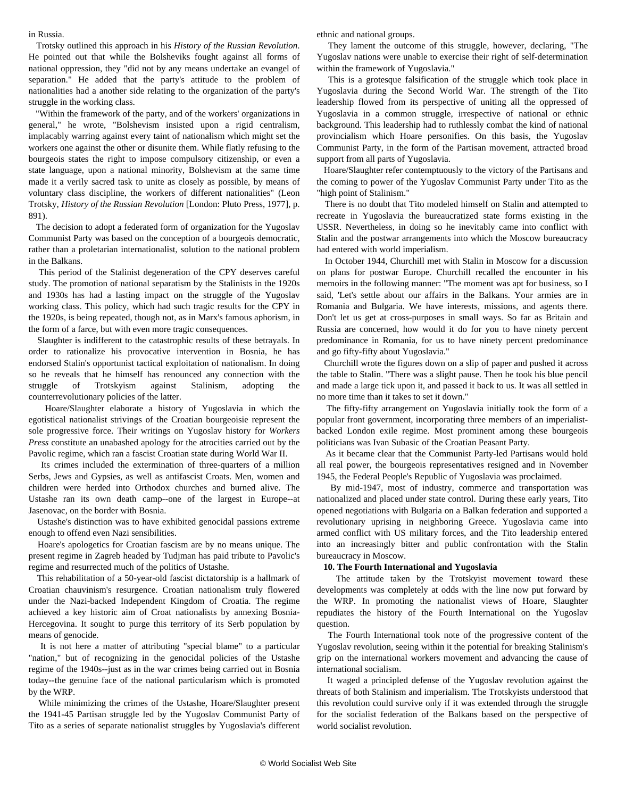in Russia.

 Trotsky outlined this approach in his *History of the Russian Revolution*. He pointed out that while the Bolsheviks fought against all forms of national oppression, they "did not by any means undertake an evangel of separation." He added that the party's attitude to the problem of nationalities had a another side relating to the organization of the party's struggle in the working class.

 "Within the framework of the party, and of the workers' organizations in general," he wrote, "Bolshevism insisted upon a rigid centralism, implacably warring against every taint of nationalism which might set the workers one against the other or disunite them. While flatly refusing to the bourgeois states the right to impose compulsory citizenship, or even a state language, upon a national minority, Bolshevism at the same time made it a verily sacred task to unite as closely as possible, by means of voluntary class discipline, the workers of different nationalities" (Leon Trotsky, *History of the Russian Revolution* [London: Pluto Press, 1977], p. 891).

 The decision to adopt a federated form of organization for the Yugoslav Communist Party was based on the conception of a bourgeois democratic, rather than a proletarian internationalist, solution to the national problem in the Balkans.

 This period of the Stalinist degeneration of the CPY deserves careful study. The promotion of national separatism by the Stalinists in the 1920s and 1930s has had a lasting impact on the struggle of the Yugoslav working class. This policy, which had such tragic results for the CPY in the 1920s, is being repeated, though not, as in Marx's famous aphorism, in the form of a farce, but with even more tragic consequences.

 Slaughter is indifferent to the catastrophic results of these betrayals. In order to rationalize his provocative intervention in Bosnia, he has endorsed Stalin's opportunist tactical exploitation of nationalism. In doing so he reveals that he himself has renounced any connection with the struggle of Trotskyism against Stalinism, adopting the counterrevolutionary policies of the latter.

 Hoare/Slaughter elaborate a history of Yugoslavia in which the egotistical nationalist strivings of the Croatian bourgeoisie represent the sole progressive force. Their writings on Yugoslav history for *Workers Press* constitute an unabashed apology for the atrocities carried out by the Pavolic regime, which ran a fascist Croatian state during World War II.

 Its crimes included the extermination of three-quarters of a million Serbs, Jews and Gypsies, as well as antifascist Croats. Men, women and children were herded into Orthodox churches and burned alive. The Ustashe ran its own death camp--one of the largest in Europe--at Jasenovac, on the border with Bosnia.

 Ustashe's distinction was to have exhibited genocidal passions extreme enough to offend even Nazi sensibilities.

 Hoare's apologetics for Croatian fascism are by no means unique. The present regime in Zagreb headed by Tudjman has paid tribute to Pavolic's regime and resurrected much of the politics of Ustashe.

 This rehabilitation of a 50-year-old fascist dictatorship is a hallmark of Croatian chauvinism's resurgence. Croatian nationalism truly flowered under the Nazi-backed Independent Kingdom of Croatia. The regime achieved a key historic aim of Croat nationalists by annexing Bosnia-Hercegovina. It sought to purge this territory of its Serb population by means of genocide.

 It is not here a matter of attributing "special blame" to a particular "nation," but of recognizing in the genocidal policies of the Ustashe regime of the 1940s--just as in the war crimes being carried out in Bosnia today--the genuine face of the national particularism which is promoted by the WRP.

 While minimizing the crimes of the Ustashe, Hoare/Slaughter present the 1941-45 Partisan struggle led by the Yugoslav Communist Party of Tito as a series of separate nationalist struggles by Yugoslavia's different

ethnic and national groups.

 They lament the outcome of this struggle, however, declaring, "The Yugoslav nations were unable to exercise their right of self-determination within the framework of Yugoslavia."

 This is a grotesque falsification of the struggle which took place in Yugoslavia during the Second World War. The strength of the Tito leadership flowed from its perspective of uniting all the oppressed of Yugoslavia in a common struggle, irrespective of national or ethnic background. This leadership had to ruthlessly combat the kind of national provincialism which Hoare personifies. On this basis, the Yugoslav Communist Party, in the form of the Partisan movement, attracted broad support from all parts of Yugoslavia.

 Hoare/Slaughter refer contemptuously to the victory of the Partisans and the coming to power of the Yugoslav Communist Party under Tito as the "high point of Stalinism."

 There is no doubt that Tito modeled himself on Stalin and attempted to recreate in Yugoslavia the bureaucratized state forms existing in the USSR. Nevertheless, in doing so he inevitably came into conflict with Stalin and the postwar arrangements into which the Moscow bureaucracy had entered with world imperialism.

 In October 1944, Churchill met with Stalin in Moscow for a discussion on plans for postwar Europe. Churchill recalled the encounter in his memoirs in the following manner: "The moment was apt for business, so I said, 'Let's settle about our affairs in the Balkans. Your armies are in Romania and Bulgaria. We have interests, missions, and agents there. Don't let us get at cross-purposes in small ways. So far as Britain and Russia are concerned, how would it do for you to have ninety percent predominance in Romania, for us to have ninety percent predominance and go fifty-fifty about Yugoslavia."

 Churchill wrote the figures down on a slip of paper and pushed it across the table to Stalin. "There was a slight pause. Then he took his blue pencil and made a large tick upon it, and passed it back to us. It was all settled in no more time than it takes to set it down."

 The fifty-fifty arrangement on Yugoslavia initially took the form of a popular front government, incorporating three members of an imperialistbacked London exile regime. Most prominent among these bourgeois politicians was Ivan Subasic of the Croatian Peasant Party.

 As it became clear that the Communist Party-led Partisans would hold all real power, the bourgeois representatives resigned and in November 1945, the Federal People's Republic of Yugoslavia was proclaimed.

 By mid-1947, most of industry, commerce and transportation was nationalized and placed under state control. During these early years, Tito opened negotiations with Bulgaria on a Balkan federation and supported a revolutionary uprising in neighboring Greece. Yugoslavia came into armed conflict with US military forces, and the Tito leadership entered into an increasingly bitter and public confrontation with the Stalin bureaucracy in Moscow.

#### **10. The Fourth International and Yugoslavia**

 The attitude taken by the Trotskyist movement toward these developments was completely at odds with the line now put forward by the WRP. In promoting the nationalist views of Hoare, Slaughter repudiates the history of the Fourth International on the Yugoslav question.

 The Fourth International took note of the progressive content of the Yugoslav revolution, seeing within it the potential for breaking Stalinism's grip on the international workers movement and advancing the cause of international socialism.

 It waged a principled defense of the Yugoslav revolution against the threats of both Stalinism and imperialism. The Trotskyists understood that this revolution could survive only if it was extended through the struggle for the socialist federation of the Balkans based on the perspective of world socialist revolution.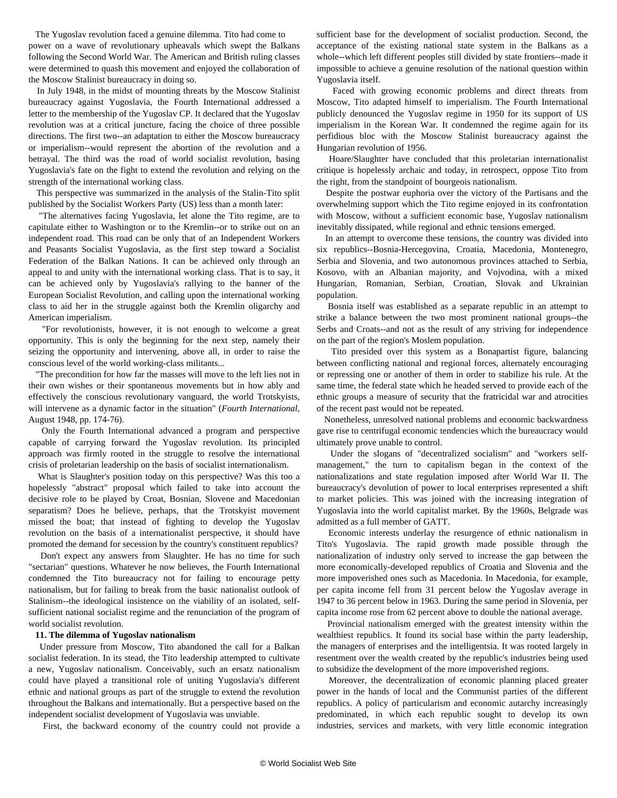The Yugoslav revolution faced a genuine dilemma. Tito had come to power on a wave of revolutionary upheavals which swept the Balkans following the Second World War. The American and British ruling classes were determined to quash this movement and enjoyed the collaboration of the Moscow Stalinist bureaucracy in doing so.

 In July 1948, in the midst of mounting threats by the Moscow Stalinist bureaucracy against Yugoslavia, the Fourth International addressed a letter to the membership of the Yugoslav CP. It declared that the Yugoslav revolution was at a critical juncture, facing the choice of three possible directions. The first two--an adaptation to either the Moscow bureaucracy or imperialism--would represent the abortion of the revolution and a betrayal. The third was the road of world socialist revolution, basing Yugoslavia's fate on the fight to extend the revolution and relying on the strength of the international working class.

 This perspective was summarized in the analysis of the Stalin-Tito split published by the Socialist Workers Party (US) less than a month later:

 "The alternatives facing Yugoslavia, let alone the Tito regime, are to capitulate either to Washington or to the Kremlin--or to strike out on an independent road. This road can be only that of an Independent Workers and Peasants Socialist Yugoslavia, as the first step toward a Socialist Federation of the Balkan Nations. It can be achieved only through an appeal to and unity with the international working class. That is to say, it can be achieved only by Yugoslavia's rallying to the banner of the European Socialist Revolution, and calling upon the international working class to aid her in the struggle against both the Kremlin oligarchy and American imperialism.

 "For revolutionists, however, it is not enough to welcome a great opportunity. This is only the beginning for the next step, namely their seizing the opportunity and intervening, above all, in order to raise the conscious level of the world working-class militants...

 "The precondition for how far the masses will move to the left lies not in their own wishes or their spontaneous movements but in how ably and effectively the conscious revolutionary vanguard, the world Trotskyists, will intervene as a dynamic factor in the situation" (*Fourth International*, August 1948, pp. 174-76).

 Only the Fourth International advanced a program and perspective capable of carrying forward the Yugoslav revolution. Its principled approach was firmly rooted in the struggle to resolve the international crisis of proletarian leadership on the basis of socialist internationalism.

 What is Slaughter's position today on this perspective? Was this too a hopelessly "abstract" proposal which failed to take into account the decisive role to be played by Croat, Bosnian, Slovene and Macedonian separatism? Does he believe, perhaps, that the Trotskyist movement missed the boat; that instead of fighting to develop the Yugoslav revolution on the basis of a internationalist perspective, it should have promoted the demand for secession by the country's constituent republics?

 Don't expect any answers from Slaughter. He has no time for such "sectarian" questions. Whatever he now believes, the Fourth International condemned the Tito bureaucracy not for failing to encourage petty nationalism, but for failing to break from the basic nationalist outlook of Stalinism--the ideological insistence on the viability of an isolated, selfsufficient national socialist regime and the renunciation of the program of world socialist revolution.

#### **11. The dilemma of Yugoslav nationalism**

 Under pressure from Moscow, Tito abandoned the call for a Balkan socialist federation. In its stead, the Tito leadership attempted to cultivate a new, Yugoslav nationalism. Conceivably, such an ersatz nationalism could have played a transitional role of uniting Yugoslavia's different ethnic and national groups as part of the struggle to extend the revolution throughout the Balkans and internationally. But a perspective based on the independent socialist development of Yugoslavia was unviable.

First, the backward economy of the country could not provide a

sufficient base for the development of socialist production. Second, the acceptance of the existing national state system in the Balkans as a whole--which left different peoples still divided by state frontiers--made it impossible to achieve a genuine resolution of the national question within Yugoslavia itself.

 Faced with growing economic problems and direct threats from Moscow, Tito adapted himself to imperialism. The Fourth International publicly denounced the Yugoslav regime in 1950 for its support of US imperialism in the Korean War. It condemned the regime again for its perfidious bloc with the Moscow Stalinist bureaucracy against the Hungarian revolution of 1956.

 Hoare/Slaughter have concluded that this proletarian internationalist critique is hopelessly archaic and today, in retrospect, oppose Tito from the right, from the standpoint of bourgeois nationalism.

 Despite the postwar euphoria over the victory of the Partisans and the overwhelming support which the Tito regime enjoyed in its confrontation with Moscow, without a sufficient economic base, Yugoslav nationalism inevitably dissipated, while regional and ethnic tensions emerged.

 In an attempt to overcome these tensions, the country was divided into six republics--Bosnia-Hercegovina, Croatia, Macedonia, Montenegro, Serbia and Slovenia, and two autonomous provinces attached to Serbia, Kosovo, with an Albanian majority, and Vojvodina, with a mixed Hungarian, Romanian, Serbian, Croatian, Slovak and Ukrainian population.

 Bosnia itself was established as a separate republic in an attempt to strike a balance between the two most prominent national groups--the Serbs and Croats--and not as the result of any striving for independence on the part of the region's Moslem population.

 Tito presided over this system as a Bonapartist figure, balancing between conflicting national and regional forces, alternately encouraging or repressing one or another of them in order to stabilize his rule. At the same time, the federal state which he headed served to provide each of the ethnic groups a measure of security that the fratricidal war and atrocities of the recent past would not be repeated.

 Nonetheless, unresolved national problems and economic backwardness gave rise to centrifugal economic tendencies which the bureaucracy would ultimately prove unable to control.

 Under the slogans of "decentralized socialism" and "workers selfmanagement," the turn to capitalism began in the context of the nationalizations and state regulation imposed after World War II. The bureaucracy's devolution of power to local enterprises represented a shift to market policies. This was joined with the increasing integration of Yugoslavia into the world capitalist market. By the 1960s, Belgrade was admitted as a full member of GATT.

 Economic interests underlay the resurgence of ethnic nationalism in Tito's Yugoslavia. The rapid growth made possible through the nationalization of industry only served to increase the gap between the more economically-developed republics of Croatia and Slovenia and the more impoverished ones such as Macedonia. In Macedonia, for example, per capita income fell from 31 percent below the Yugoslav average in 1947 to 36 percent below in 1963. During the same period in Slovenia, per capita income rose from 62 percent above to double the national average.

 Provincial nationalism emerged with the greatest intensity within the wealthiest republics. It found its social base within the party leadership, the managers of enterprises and the intelligentsia. It was rooted largely in resentment over the wealth created by the republic's industries being used to subsidize the development of the more impoverished regions.

 Moreover, the decentralization of economic planning placed greater power in the hands of local and the Communist parties of the different republics. A policy of particularism and economic autarchy increasingly predominated, in which each republic sought to develop its own industries, services and markets, with very little economic integration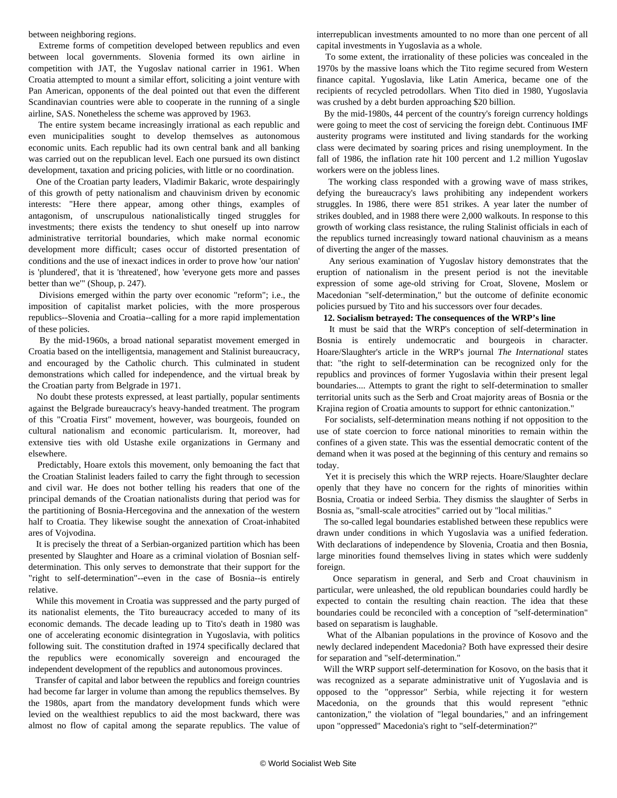between neighboring regions.

 Extreme forms of competition developed between republics and even between local governments. Slovenia formed its own airline in competition with JAT, the Yugoslav national carrier in 1961. When Croatia attempted to mount a similar effort, soliciting a joint venture with Pan American, opponents of the deal pointed out that even the different Scandinavian countries were able to cooperate in the running of a single airline, SAS. Nonetheless the scheme was approved by 1963.

 The entire system became increasingly irrational as each republic and even municipalities sought to develop themselves as autonomous economic units. Each republic had its own central bank and all banking was carried out on the republican level. Each one pursued its own distinct development, taxation and pricing policies, with little or no coordination.

 One of the Croatian party leaders, Vladimir Bakaric, wrote despairingly of this growth of petty nationalism and chauvinism driven by economic interests: "Here there appear, among other things, examples of antagonism, of unscrupulous nationalistically tinged struggles for investments; there exists the tendency to shut oneself up into narrow administrative territorial boundaries, which make normal economic development more difficult; cases occur of distorted presentation of conditions and the use of inexact indices in order to prove how 'our nation' is 'plundered', that it is 'threatened', how 'everyone gets more and passes better than we'" (Shoup, p. 247).

 Divisions emerged within the party over economic "reform"; i.e., the imposition of capitalist market policies, with the more prosperous republics--Slovenia and Croatia--calling for a more rapid implementation of these policies.

 By the mid-1960s, a broad national separatist movement emerged in Croatia based on the intelligentsia, management and Stalinist bureaucracy, and encouraged by the Catholic church. This culminated in student demonstrations which called for independence, and the virtual break by the Croatian party from Belgrade in 1971.

 No doubt these protests expressed, at least partially, popular sentiments against the Belgrade bureaucracy's heavy-handed treatment. The program of this "Croatia First" movement, however, was bourgeois, founded on cultural nationalism and economic particularism. It, moreover, had extensive ties with old Ustashe exile organizations in Germany and elsewhere.

 Predictably, Hoare extols this movement, only bemoaning the fact that the Croatian Stalinist leaders failed to carry the fight through to secession and civil war. He does not bother telling his readers that one of the principal demands of the Croatian nationalists during that period was for the partitioning of Bosnia-Hercegovina and the annexation of the western half to Croatia. They likewise sought the annexation of Croat-inhabited ares of Vojvodina.

 It is precisely the threat of a Serbian-organized partition which has been presented by Slaughter and Hoare as a criminal violation of Bosnian selfdetermination. This only serves to demonstrate that their support for the "right to self-determination"--even in the case of Bosnia--is entirely relative.

 While this movement in Croatia was suppressed and the party purged of its nationalist elements, the Tito bureaucracy acceded to many of its economic demands. The decade leading up to Tito's death in 1980 was one of accelerating economic disintegration in Yugoslavia, with politics following suit. The constitution drafted in 1974 specifically declared that the republics were economically sovereign and encouraged the independent development of the republics and autonomous provinces.

 Transfer of capital and labor between the republics and foreign countries had become far larger in volume than among the republics themselves. By the 1980s, apart from the mandatory development funds which were levied on the wealthiest republics to aid the most backward, there was almost no flow of capital among the separate republics. The value of interrepublican investments amounted to no more than one percent of all capital investments in Yugoslavia as a whole.

 To some extent, the irrationality of these policies was concealed in the 1970s by the massive loans which the Tito regime secured from Western finance capital. Yugoslavia, like Latin America, became one of the recipients of recycled petrodollars. When Tito died in 1980, Yugoslavia was crushed by a debt burden approaching \$20 billion.

 By the mid-1980s, 44 percent of the country's foreign currency holdings were going to meet the cost of servicing the foreign debt. Continuous IMF austerity programs were instituted and living standards for the working class were decimated by soaring prices and rising unemployment. In the fall of 1986, the inflation rate hit 100 percent and 1.2 million Yugoslav workers were on the jobless lines.

 The working class responded with a growing wave of mass strikes, defying the bureaucracy's laws prohibiting any independent workers struggles. In 1986, there were 851 strikes. A year later the number of strikes doubled, and in 1988 there were 2,000 walkouts. In response to this growth of working class resistance, the ruling Stalinist officials in each of the republics turned increasingly toward national chauvinism as a means of diverting the anger of the masses.

 Any serious examination of Yugoslav history demonstrates that the eruption of nationalism in the present period is not the inevitable expression of some age-old striving for Croat, Slovene, Moslem or Macedonian "self-determination," but the outcome of definite economic policies pursued by Tito and his successors over four decades.

#### **12. Socialism betrayed: The consequences of the WRP's line**

 It must be said that the WRP's conception of self-determination in Bosnia is entirely undemocratic and bourgeois in character. Hoare/Slaughter's article in the WRP's journal *The International* states that: "the right to self-determination can be recognized only for the republics and provinces of former Yugoslavia within their present legal boundaries.... Attempts to grant the right to self-determination to smaller territorial units such as the Serb and Croat majority areas of Bosnia or the Krajina region of Croatia amounts to support for ethnic cantonization."

 For socialists, self-determination means nothing if not opposition to the use of state coercion to force national minorities to remain within the confines of a given state. This was the essential democratic content of the demand when it was posed at the beginning of this century and remains so today.

 Yet it is precisely this which the WRP rejects. Hoare/Slaughter declare openly that they have no concern for the rights of minorities within Bosnia, Croatia or indeed Serbia. They dismiss the slaughter of Serbs in Bosnia as, "small-scale atrocities" carried out by "local militias."

 The so-called legal boundaries established between these republics were drawn under conditions in which Yugoslavia was a unified federation. With declarations of independence by Slovenia, Croatia and then Bosnia, large minorities found themselves living in states which were suddenly foreign.

 Once separatism in general, and Serb and Croat chauvinism in particular, were unleashed, the old republican boundaries could hardly be expected to contain the resulting chain reaction. The idea that these boundaries could be reconciled with a conception of "self-determination" based on separatism is laughable.

 What of the Albanian populations in the province of Kosovo and the newly declared independent Macedonia? Both have expressed their desire for separation and "self-determination."

 Will the WRP support self-determination for Kosovo, on the basis that it was recognized as a separate administrative unit of Yugoslavia and is opposed to the "oppressor" Serbia, while rejecting it for western Macedonia, on the grounds that this would represent "ethnic cantonization," the violation of "legal boundaries," and an infringement upon "oppressed" Macedonia's right to "self-determination?"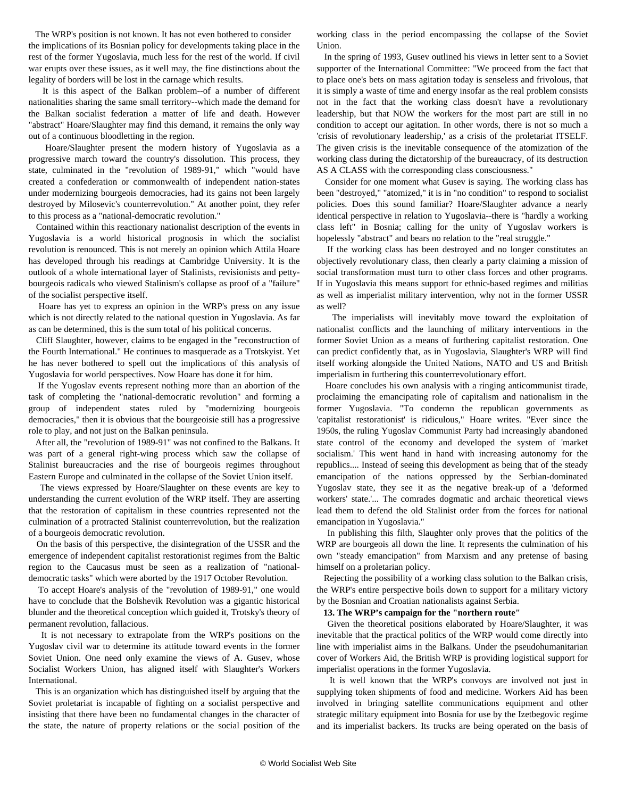The WRP's position is not known. It has not even bothered to consider the implications of its Bosnian policy for developments taking place in the rest of the former Yugoslavia, much less for the rest of the world. If civil war erupts over these issues, as it well may, the fine distinctions about the legality of borders will be lost in the carnage which results.

 It is this aspect of the Balkan problem--of a number of different nationalities sharing the same small territory--which made the demand for the Balkan socialist federation a matter of life and death. However "abstract" Hoare/Slaughter may find this demand, it remains the only way out of a continuous bloodletting in the region.

 Hoare/Slaughter present the modern history of Yugoslavia as a progressive march toward the country's dissolution. This process, they state, culminated in the "revolution of 1989-91," which "would have created a confederation or commonwealth of independent nation-states under modernizing bourgeois democracies, had its gains not been largely destroyed by Milosevic's counterrevolution." At another point, they refer to this process as a "national-democratic revolution."

 Contained within this reactionary nationalist description of the events in Yugoslavia is a world historical prognosis in which the socialist revolution is renounced. This is not merely an opinion which Attila Hoare has developed through his readings at Cambridge University. It is the outlook of a whole international layer of Stalinists, revisionists and pettybourgeois radicals who viewed Stalinism's collapse as proof of a "failure" of the socialist perspective itself.

 Hoare has yet to express an opinion in the WRP's press on any issue which is not directly related to the national question in Yugoslavia. As far as can be determined, this is the sum total of his political concerns.

 Cliff Slaughter, however, claims to be engaged in the "reconstruction of the Fourth International." He continues to masquerade as a Trotskyist. Yet he has never bothered to spell out the implications of this analysis of Yugoslavia for world perspectives. Now Hoare has done it for him.

 If the Yugoslav events represent nothing more than an abortion of the task of completing the "national-democratic revolution" and forming a group of independent states ruled by "modernizing bourgeois democracies," then it is obvious that the bourgeoisie still has a progressive role to play, and not just on the Balkan peninsula.

 After all, the "revolution of 1989-91" was not confined to the Balkans. It was part of a general right-wing process which saw the collapse of Stalinist bureaucracies and the rise of bourgeois regimes throughout Eastern Europe and culminated in the collapse of the Soviet Union itself.

 The views expressed by Hoare/Slaughter on these events are key to understanding the current evolution of the WRP itself. They are asserting that the restoration of capitalism in these countries represented not the culmination of a protracted Stalinist counterrevolution, but the realization of a bourgeois democratic revolution.

 On the basis of this perspective, the disintegration of the USSR and the emergence of independent capitalist restorationist regimes from the Baltic region to the Caucasus must be seen as a realization of "nationaldemocratic tasks" which were aborted by the 1917 October Revolution.

 To accept Hoare's analysis of the "revolution of 1989-91," one would have to conclude that the Bolshevik Revolution was a gigantic historical blunder and the theoretical conception which guided it, Trotsky's theory of permanent revolution, fallacious.

 It is not necessary to extrapolate from the WRP's positions on the Yugoslav civil war to determine its attitude toward events in the former Soviet Union. One need only examine the views of A. Gusev, whose Socialist Workers Union, has aligned itself with Slaughter's Workers International.

 This is an organization which has distinguished itself by arguing that the Soviet proletariat is incapable of fighting on a socialist perspective and insisting that there have been no fundamental changes in the character of the state, the nature of property relations or the social position of the

working class in the period encompassing the collapse of the Soviet Union.

 In the spring of 1993, Gusev outlined his views in letter sent to a Soviet supporter of the International Committee: "We proceed from the fact that to place one's bets on mass agitation today is senseless and frivolous, that it is simply a waste of time and energy insofar as the real problem consists not in the fact that the working class doesn't have a revolutionary leadership, but that NOW the workers for the most part are still in no condition to accept our agitation. In other words, there is not so much a 'crisis of revolutionary leadership,' as a crisis of the proletariat ITSELF. The given crisis is the inevitable consequence of the atomization of the working class during the dictatorship of the bureaucracy, of its destruction AS A CLASS with the corresponding class consciousness."

 Consider for one moment what Gusev is saying. The working class has been "destroyed," "atomized," it is in "no condition" to respond to socialist policies. Does this sound familiar? Hoare/Slaughter advance a nearly identical perspective in relation to Yugoslavia--there is "hardly a working class left" in Bosnia; calling for the unity of Yugoslav workers is hopelessly "abstract" and bears no relation to the "real struggle."

 If the working class has been destroyed and no longer constitutes an objectively revolutionary class, then clearly a party claiming a mission of social transformation must turn to other class forces and other programs. If in Yugoslavia this means support for ethnic-based regimes and militias as well as imperialist military intervention, why not in the former USSR as well?

 The imperialists will inevitably move toward the exploitation of nationalist conflicts and the launching of military interventions in the former Soviet Union as a means of furthering capitalist restoration. One can predict confidently that, as in Yugoslavia, Slaughter's WRP will find itself working alongside the United Nations, NATO and US and British imperialism in furthering this counterrevolutionary effort.

 Hoare concludes his own analysis with a ringing anticommunist tirade, proclaiming the emancipating role of capitalism and nationalism in the former Yugoslavia. "To condemn the republican governments as 'capitalist restorationist' is ridiculous," Hoare writes. "Ever since the 1950s, the ruling Yugoslav Communist Party had increasingly abandoned state control of the economy and developed the system of 'market socialism.' This went hand in hand with increasing autonomy for the republics.... Instead of seeing this development as being that of the steady emancipation of the nations oppressed by the Serbian-dominated Yugoslav state, they see it as the negative break-up of a 'deformed workers' state.'... The comrades dogmatic and archaic theoretical views lead them to defend the old Stalinist order from the forces for national emancipation in Yugoslavia."

 In publishing this filth, Slaughter only proves that the politics of the WRP are bourgeois all down the line. It represents the culmination of his own "steady emancipation" from Marxism and any pretense of basing himself on a proletarian policy.

 Rejecting the possibility of a working class solution to the Balkan crisis, the WRP's entire perspective boils down to support for a military victory by the Bosnian and Croatian nationalists against Serbia.

#### **13. The WRP's campaign for the "northern route"**

 Given the theoretical positions elaborated by Hoare/Slaughter, it was inevitable that the practical politics of the WRP would come directly into line with imperialist aims in the Balkans. Under the pseudohumanitarian cover of Workers Aid, the British WRP is providing logistical support for imperialist operations in the former Yugoslavia.

 It is well known that the WRP's convoys are involved not just in supplying token shipments of food and medicine. Workers Aid has been involved in bringing satellite communications equipment and other strategic military equipment into Bosnia for use by the Izetbegovic regime and its imperialist backers. Its trucks are being operated on the basis of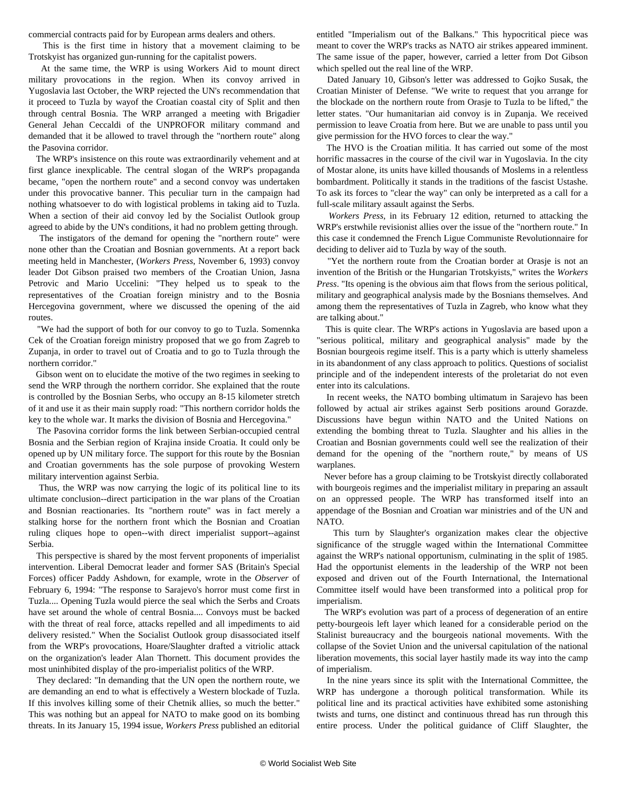commercial contracts paid for by European arms dealers and others.

 This is the first time in history that a movement claiming to be Trotskyist has organized gun-running for the capitalist powers.

 At the same time, the WRP is using Workers Aid to mount direct military provocations in the region. When its convoy arrived in Yugoslavia last October, the WRP rejected the UN's recommendation that it proceed to Tuzla by wayof the Croatian coastal city of Split and then through central Bosnia. The WRP arranged a meeting with Brigadier General Jehan Ceccaldi of the UNPROFOR military command and demanded that it be allowed to travel through the "northern route" along the Pasovina corridor.

 The WRP's insistence on this route was extraordinarily vehement and at first glance inexplicable. The central slogan of the WRP's propaganda became, "open the northern route" and a second convoy was undertaken under this provocative banner. This peculiar turn in the campaign had nothing whatsoever to do with logistical problems in taking aid to Tuzla. When a section of their aid convoy led by the Socialist Outlook group agreed to abide by the UN's conditions, it had no problem getting through.

 The instigators of the demand for opening the "northern route" were none other than the Croatian and Bosnian governments. At a report back meeting held in Manchester, (*Workers Press*, November 6, 1993) convoy leader Dot Gibson praised two members of the Croatian Union, Jasna Petrovic and Mario Uccelini: "They helped us to speak to the representatives of the Croatian foreign ministry and to the Bosnia Hercegovina government, where we discussed the opening of the aid routes.

 "We had the support of both for our convoy to go to Tuzla. Somennka Cek of the Croatian foreign ministry proposed that we go from Zagreb to Zupanja, in order to travel out of Croatia and to go to Tuzla through the northern corridor."

 Gibson went on to elucidate the motive of the two regimes in seeking to send the WRP through the northern corridor. She explained that the route is controlled by the Bosnian Serbs, who occupy an 8-15 kilometer stretch of it and use it as their main supply road: "This northern corridor holds the key to the whole war. It marks the division of Bosnia and Hercegovina."

 The Pasovina corridor forms the link between Serbian-occupied central Bosnia and the Serbian region of Krajina inside Croatia. It could only be opened up by UN military force. The support for this route by the Bosnian and Croatian governments has the sole purpose of provoking Western military intervention against Serbia.

 Thus, the WRP was now carrying the logic of its political line to its ultimate conclusion--direct participation in the war plans of the Croatian and Bosnian reactionaries. Its "northern route" was in fact merely a stalking horse for the northern front which the Bosnian and Croatian ruling cliques hope to open--with direct imperialist support--against Serbia.

 This perspective is shared by the most fervent proponents of imperialist intervention. Liberal Democrat leader and former SAS (Britain's Special Forces) officer Paddy Ashdown, for example, wrote in the *Observer* of February 6, 1994: "The response to Sarajevo's horror must come first in Tuzla.... Opening Tuzla would pierce the seal which the Serbs and Croats have set around the whole of central Bosnia.... Convoys must be backed with the threat of real force, attacks repelled and all impediments to aid delivery resisted." When the Socialist Outlook group disassociated itself from the WRP's provocations, Hoare/Slaughter drafted a vitriolic attack on the organization's leader Alan Thornett. This document provides the most uninhibited display of the pro-imperialist politics of the WRP.

 They declared: "In demanding that the UN open the northern route, we are demanding an end to what is effectively a Western blockade of Tuzla. If this involves killing some of their Chetnik allies, so much the better." This was nothing but an appeal for NATO to make good on its bombing threats. In its January 15, 1994 issue, *Workers Press* published an editorial

entitled "Imperialism out of the Balkans." This hypocritical piece was meant to cover the WRP's tracks as NATO air strikes appeared imminent. The same issue of the paper, however, carried a letter from Dot Gibson which spelled out the real line of the WRP.

 Dated January 10, Gibson's letter was addressed to Gojko Susak, the Croatian Minister of Defense. "We write to request that you arrange for the blockade on the northern route from Orasje to Tuzla to be lifted," the letter states. "Our humanitarian aid convoy is in Zupanja. We received permission to leave Croatia from here. But we are unable to pass until you give permission for the HVO forces to clear the way."

 The HVO is the Croatian militia. It has carried out some of the most horrific massacres in the course of the civil war in Yugoslavia. In the city of Mostar alone, its units have killed thousands of Moslems in a relentless bombardment. Politically it stands in the traditions of the fascist Ustashe. To ask its forces to "clear the way" can only be interpreted as a call for a full-scale military assault against the Serbs.

 *Workers Press*, in its February 12 edition, returned to attacking the WRP's erstwhile revisionist allies over the issue of the "northern route." In this case it condemned the French Ligue Communiste Revolutionnaire for deciding to deliver aid to Tuzla by way of the south.

 "Yet the northern route from the Croatian border at Orasje is not an invention of the British or the Hungarian Trotskyists," writes the *Workers Press*. "Its opening is the obvious aim that flows from the serious political, military and geographical analysis made by the Bosnians themselves. And among them the representatives of Tuzla in Zagreb, who know what they are talking about."

 This is quite clear. The WRP's actions in Yugoslavia are based upon a "serious political, military and geographical analysis" made by the Bosnian bourgeois regime itself. This is a party which is utterly shameless in its abandonment of any class approach to politics. Questions of socialist principle and of the independent interests of the proletariat do not even enter into its calculations.

 In recent weeks, the NATO bombing ultimatum in Sarajevo has been followed by actual air strikes against Serb positions around Gorazde. Discussions have begun within NATO and the United Nations on extending the bombing threat to Tuzla. Slaughter and his allies in the Croatian and Bosnian governments could well see the realization of their demand for the opening of the "northern route," by means of US warplanes.

 Never before has a group claiming to be Trotskyist directly collaborated with bourgeois regimes and the imperialist military in preparing an assault on an oppressed people. The WRP has transformed itself into an appendage of the Bosnian and Croatian war ministries and of the UN and NATO.

 This turn by Slaughter's organization makes clear the objective significance of the struggle waged within the International Committee against the WRP's national opportunism, culminating in the split of 1985. Had the opportunist elements in the leadership of the WRP not been exposed and driven out of the Fourth International, the International Committee itself would have been transformed into a political prop for imperialism.

 The WRP's evolution was part of a process of degeneration of an entire petty-bourgeois left layer which leaned for a considerable period on the Stalinist bureaucracy and the bourgeois national movements. With the collapse of the Soviet Union and the universal capitulation of the national liberation movements, this social layer hastily made its way into the camp of imperialism.

 In the nine years since its split with the International Committee, the WRP has undergone a thorough political transformation. While its political line and its practical activities have exhibited some astonishing twists and turns, one distinct and continuous thread has run through this entire process. Under the political guidance of Cliff Slaughter, the